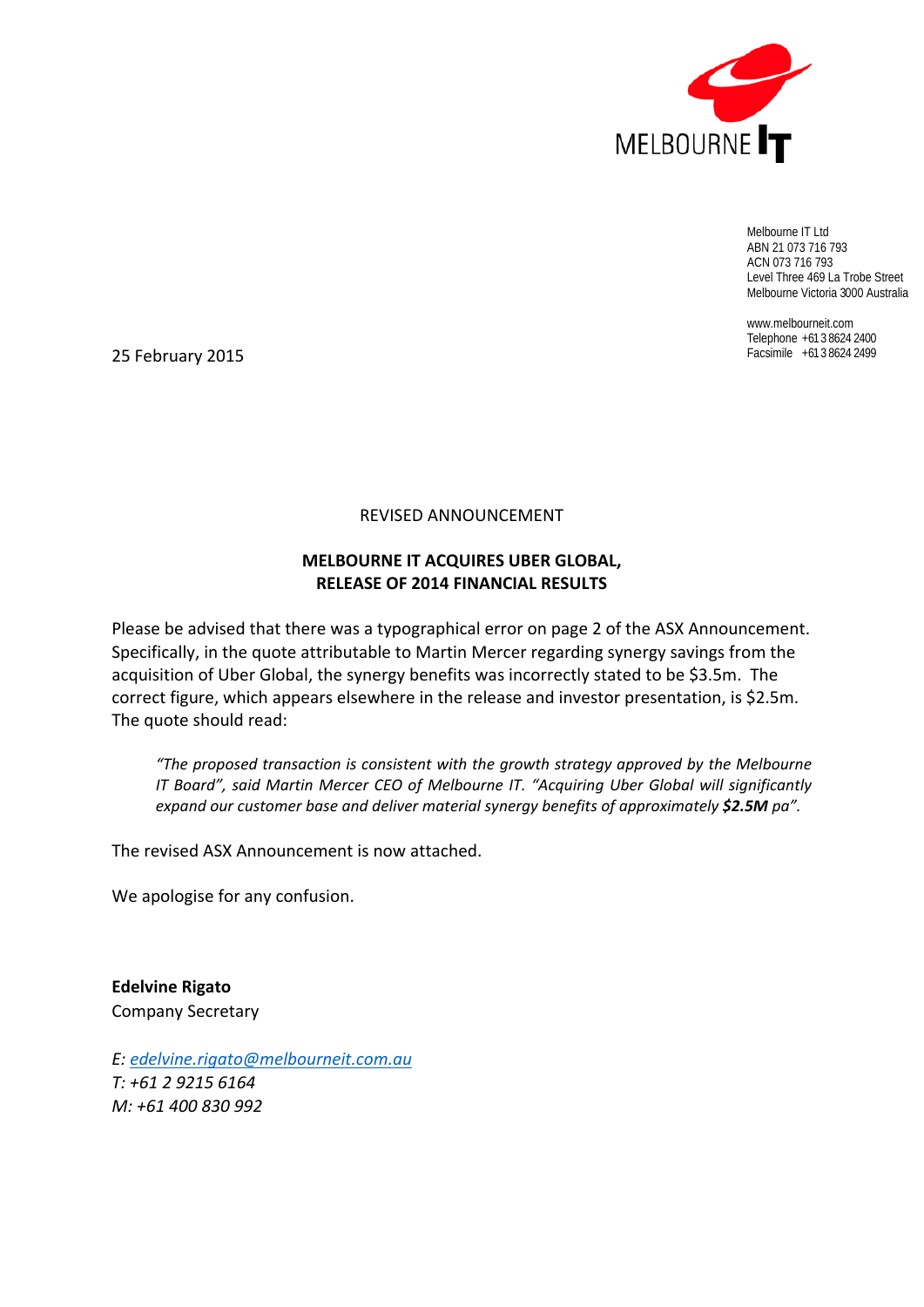

Melbourne IT Ltd ABN 21 073 716 793 ACN 073 716 793 Level Three 469 La Trobe Street Melbourne Victoria 3000 Australia

www.melbourneit.com Telephone +61 3 8624 2400

25 Facsimile +61 3 8624 2499 February 2015

# REVISED ANNOUNCEMENT

# **MELBOURNE IT ACQUIRES UBER GLOBAL, RELEASE OF 2014 FINANCIAL RESULTS**

Please be advised that there was a typographical error on page 2 of the ASX Announcement. Specifically, in the quote attributable to Martin Mercer regarding synergy savings from the acquisition of Uber Global, the synergy benefits was incorrectly stated to be \$3.5m. The correct figure, which appears elsewhere in the release and investor presentation, is \$2.5m. The quote should read:

*"The proposed transaction is consistent with the growth strategy approved by the Melbourne IT Board", said Martin Mercer CEO of Melbourne IT. "Acquiring Uber Global will significantly expand our customer base and deliver material synergy benefits of approximately \$2.5M pa".*

The revised ASX Announcement is now attached.

We apologise for any confusion.

**Edelvine Rigato** Company Secretary

*E: edelvine.rigato@melbourneit.com.au T: +61 2 9215 6164 M: +61 400 830 992*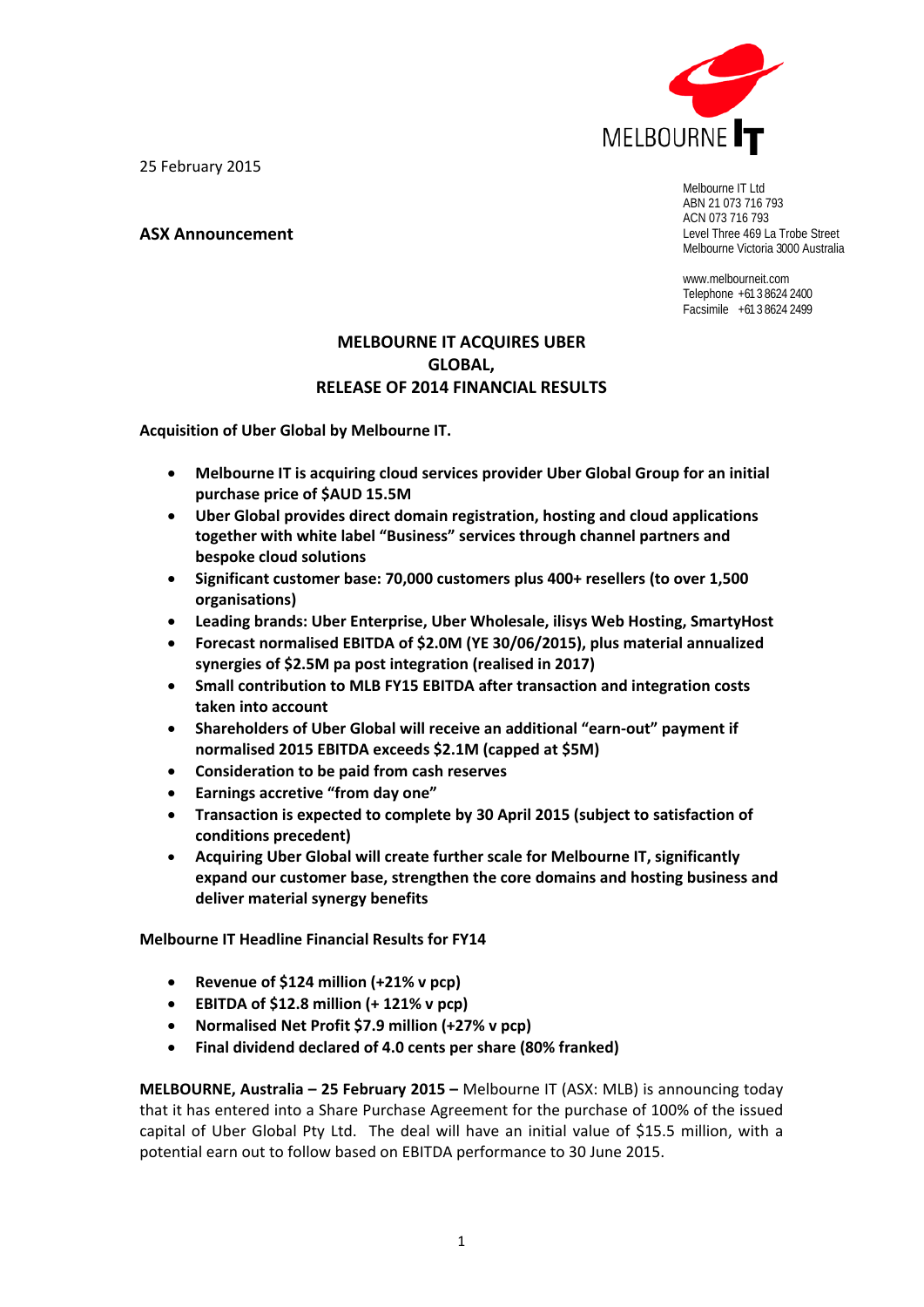25 February 2015

**ASX Announcement**



Melbourne IT Ltd ABN 21 073 716 793 ACN 073 716 793 Level Three 469 La Trobe Street Melbourne Victoria 3000 Australia

www.melbourneit.com Telephone +61 3 8624 2400 Facsimile +61 3 8624 2499

# **MELBOURNE IT ACQUIRES UBER GLOBAL, RELEASE OF 2014 FINANCIAL RESULTS**

**Acquisition of Uber Global by Melbourne IT.**

- **Melbourne IT is acquiring cloud services provider Uber Global Group for an initial purchase price of \$AUD 15.5M**
- **Uber Global provides direct domain registration, hosting and cloud applications together with white label "Business" services through channel partners and bespoke cloud solutions**
- **Significant customer base: 70,000 customers plus 400+ resellers (to over 1,500 organisations)**
- **Leading brands: Uber Enterprise, Uber Wholesale, ilisys Web Hosting, SmartyHost**
- **Forecast normalised EBITDA of \$2.0M (YE 30/06/2015), plus material annualized synergies of \$2.5M pa post integration (realised in 2017)**
- **Small contribution to MLB FY15 EBITDA after transaction and integration costs taken into account**
- **Shareholders of Uber Global will receive an additional "earn‐out" payment if normalised 2015 EBITDA exceeds \$2.1M (capped at \$5M)**
- **Consideration to be paid from cash reserves**
- **Earnings accretive "from day one"**
- **Transaction is expected to complete by 30 April 2015 (subject to satisfaction of conditions precedent)**
- **Acquiring Uber Global will create further scale for Melbourne IT, significantly expand our customer base, strengthen the core domains and hosting business and deliver material synergy benefits**

**Melbourne IT Headline Financial Results for FY14**

- **Revenue of \$124 million (+21% v pcp)**
- **EBITDA of \$12.8 million (+ 121% v pcp)**
- **Normalised Net Profit \$7.9 million (+27% v pcp)**
- **Final dividend declared of 4.0 cents per share (80% franked)**

**MELBOURNE, Australia – 25 February 2015 –** Melbourne IT (ASX: MLB) is announcing today that it has entered into a Share Purchase Agreement for the purchase of 100% of the issued capital of Uber Global Pty Ltd. The deal will have an initial value of \$15.5 million, with a potential earn out to follow based on EBITDA performance to 30 June 2015.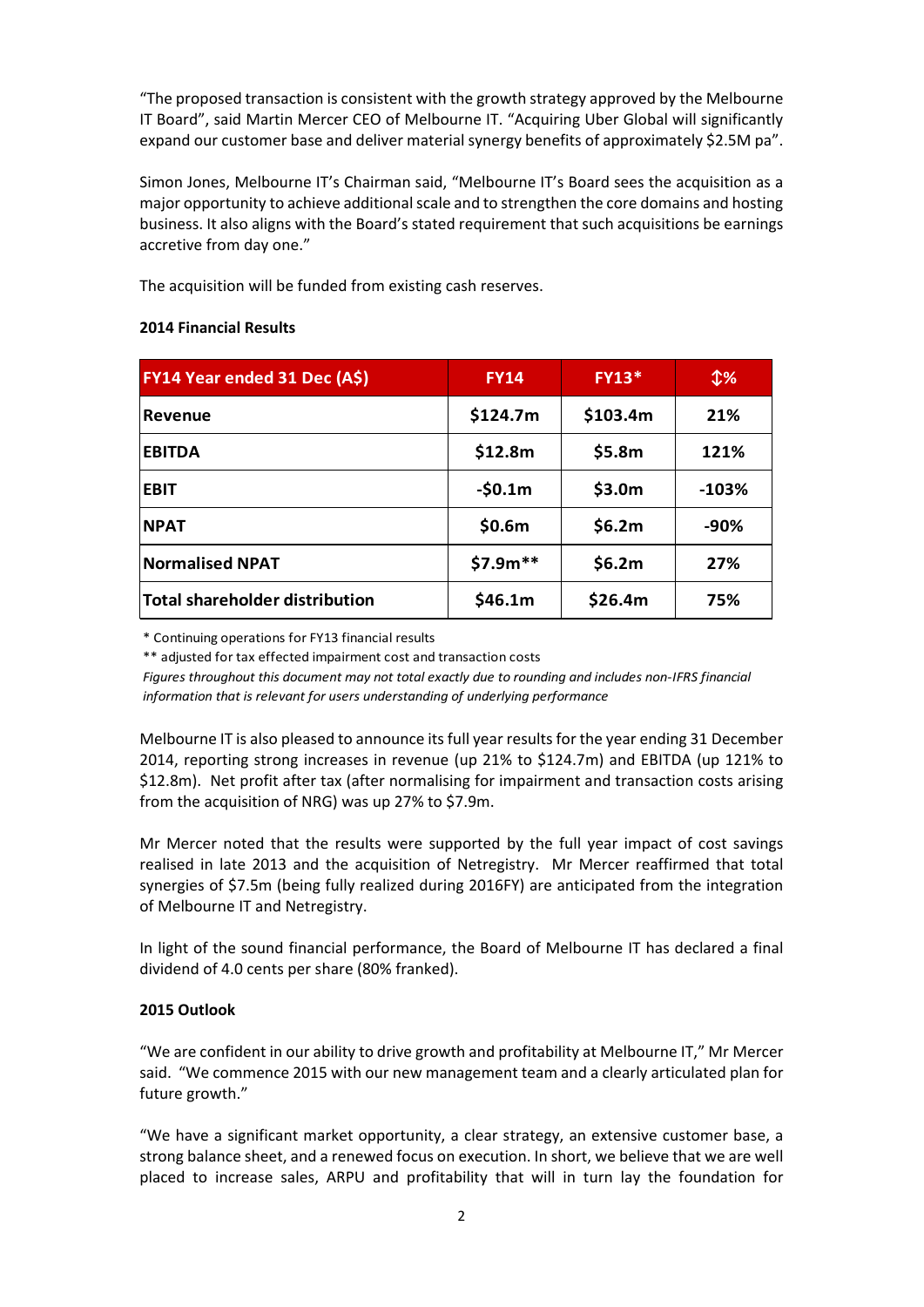"The proposed transaction is consistent with the growth strategy approved by the Melbourne IT Board", said Martin Mercer CEO of Melbourne IT. "Acquiring Uber Global will significantly expand our customer base and deliver material synergy benefits of approximately \$2.5M pa".

Simon Jones, Melbourne IT's Chairman said, "Melbourne IT's Board sees the acquisition as a major opportunity to achieve additional scale and to strengthen the core domains and hosting business. It also aligns with the Board's stated requirement that such acquisitions be earnings accretive from day one."

The acquisition will be funded from existing cash reserves.

# **2014 Financial Results**

| <b>FY14 Year ended 31 Dec (A\$)</b> | <b>FY14</b> | <b>FY13*</b> | $\mathfrak{P}$ % |
|-------------------------------------|-------------|--------------|------------------|
| <b>Revenue</b>                      | \$124.7m    | \$103.4m     | 21%              |
| <b>EBITDA</b>                       | \$12.8m     | \$5.8m       | 121%             |
| <b>EBIT</b>                         | $-50.1m$    | \$3.0m       | $-103%$          |
| <b>NPAT</b>                         | \$0.6m      | \$6.2m       | $-90%$           |
| <b>Normalised NPAT</b>              | $$7.9m**$   | \$6.2m       | 27%              |
| Total shareholder distribution      | \$46.1m     | \$26.4m      | 75%              |

\* Continuing operations for FY13 financial results

\*\* adjusted for tax effected impairment cost and transaction costs

*Figures throughout this document may not total exactly due to rounding and includes non‐IFRS financial information that is relevant for users understanding of underlying performance*

Melbourne IT is also pleased to announce itsfull year resultsfor the year ending 31 December 2014, reporting strong increases in revenue (up 21% to \$124.7m) and EBITDA (up 121% to \$12.8m). Net profit after tax (after normalising for impairment and transaction costs arising from the acquisition of NRG) was up 27% to \$7.9m.

Mr Mercer noted that the results were supported by the full year impact of cost savings realised in late 2013 and the acquisition of Netregistry. Mr Mercer reaffirmed that total synergies of \$7.5m (being fully realized during 2016FY) are anticipated from the integration of Melbourne IT and Netregistry.

In light of the sound financial performance, the Board of Melbourne IT has declared a final dividend of 4.0 cents per share (80% franked).

# **2015 Outlook**

"We are confident in our ability to drive growth and profitability at Melbourne IT," Mr Mercer said. "We commence 2015 with our new management team and a clearly articulated plan for future growth."

"We have a significant market opportunity, a clear strategy, an extensive customer base, a strong balance sheet, and a renewed focus on execution. In short, we believe that we are well placed to increase sales, ARPU and profitability that will in turn lay the foundation for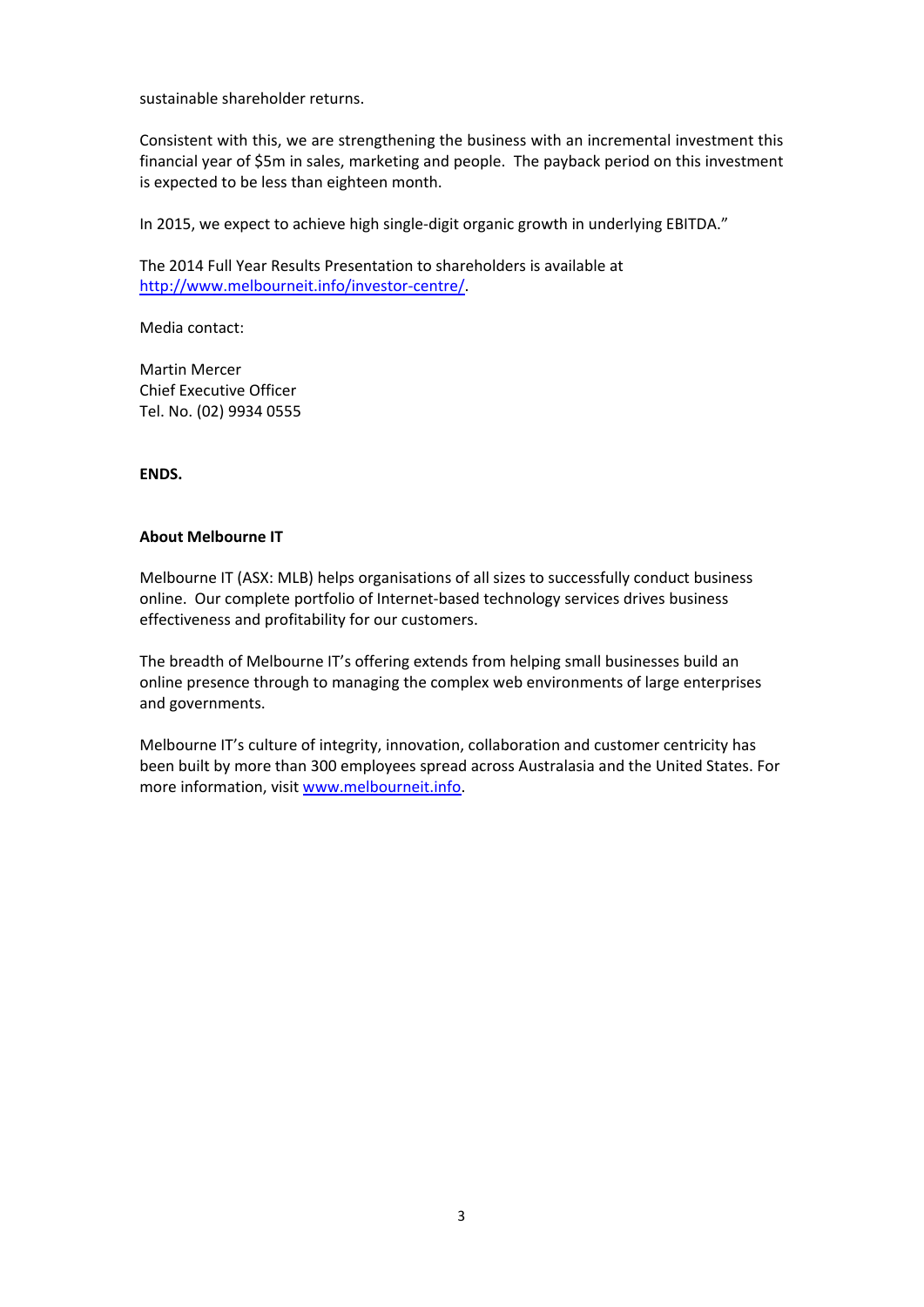sustainable shareholder returns.

Consistent with this, we are strengthening the business with an incremental investment this financial year of \$5m in sales, marketing and people. The payback period on this investment is expected to be less than eighteen month.

In 2015, we expect to achieve high single‐digit organic growth in underlying EBITDA."

The 2014 Full Year Results Presentation to shareholders is available at http://www.melbourneit.info/investor‐centre/.

Media contact:

Martin Mercer Chief Executive Officer Tel. No. (02) 9934 0555

**ENDS.**

# **About Melbourne IT**

Melbourne IT (ASX: MLB) helps organisations of all sizes to successfully conduct business online. Our complete portfolio of Internet‐based technology services drives business effectiveness and profitability for our customers.

The breadth of Melbourne IT's offering extends from helping small businesses build an online presence through to managing the complex web environments of large enterprises and governments.

Melbourne IT's culture of integrity, innovation, collaboration and customer centricity has been built by more than 300 employees spread across Australasia and the United States. For more information, visit www.melbourneit.info.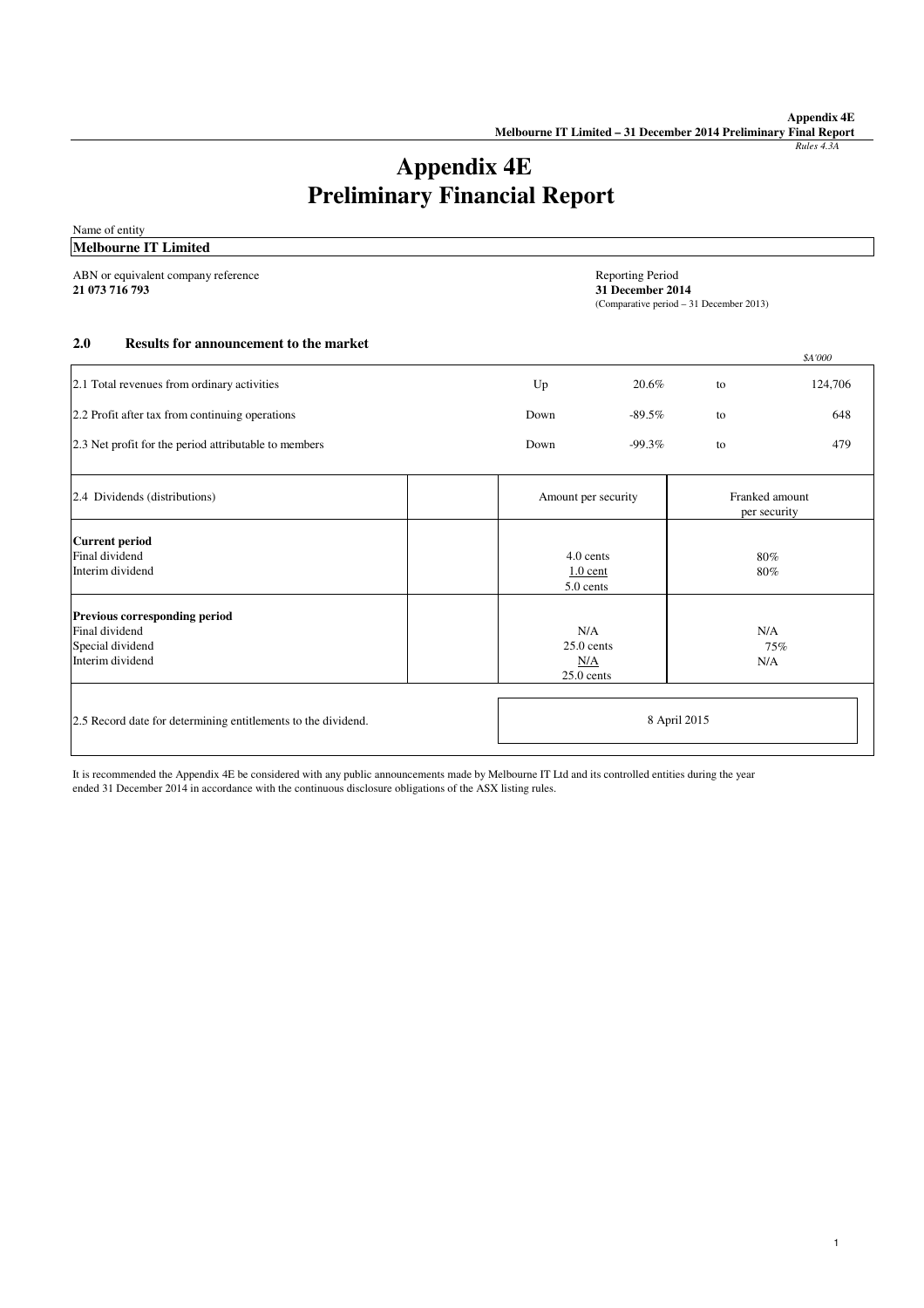# *Rules 4.3A*

*\$A'000*

# **Appendix 4E Preliminary Financial Report**

Name of entity **Melbourne IT Limited**

ABN or equivalent company reference<br>
21 073 716 793<br>
31 December 20

**21 073 716 793 31 December 2014** (Comparative period – 31 December 2013)

#### **Results for announcement to the market 2.0**

|                                                                                         |                                                                 |           |              | sa vuu                         |
|-----------------------------------------------------------------------------------------|-----------------------------------------------------------------|-----------|--------------|--------------------------------|
| 2.1 Total revenues from ordinary activities                                             | Up                                                              | 20.6%     | to           | 124,706                        |
| 2.2 Profit after tax from continuing operations                                         | Down                                                            | $-89.5\%$ | to           | 648                            |
| 2.3 Net profit for the period attributable to members                                   | Down                                                            | $-99.3\%$ | to           | 479                            |
| 2.4 Dividends (distributions)                                                           | Amount per security                                             |           |              | Franked amount<br>per security |
| <b>Current period</b><br>Final dividend<br>Interim dividend                             | 4.0 cents<br>$1.0$ cent<br>5.0 cents                            |           | 80%<br>80%   |                                |
| Previous corresponding period<br>Final dividend<br>Special dividend<br>Interim dividend | N/A<br>N/A<br>$25.0$ cents<br>75%<br>N/A<br>N/A<br>$25.0$ cents |           |              |                                |
| 2.5 Record date for determining entitlements to the dividend.                           |                                                                 |           | 8 April 2015 |                                |

It is recommended the Appendix 4E be considered with any public announcements made by Melbourne IT Ltd and its controlled entities during the year ended 31 December 2014 in accordance with the continuous disclosure obligations of the ASX listing rules.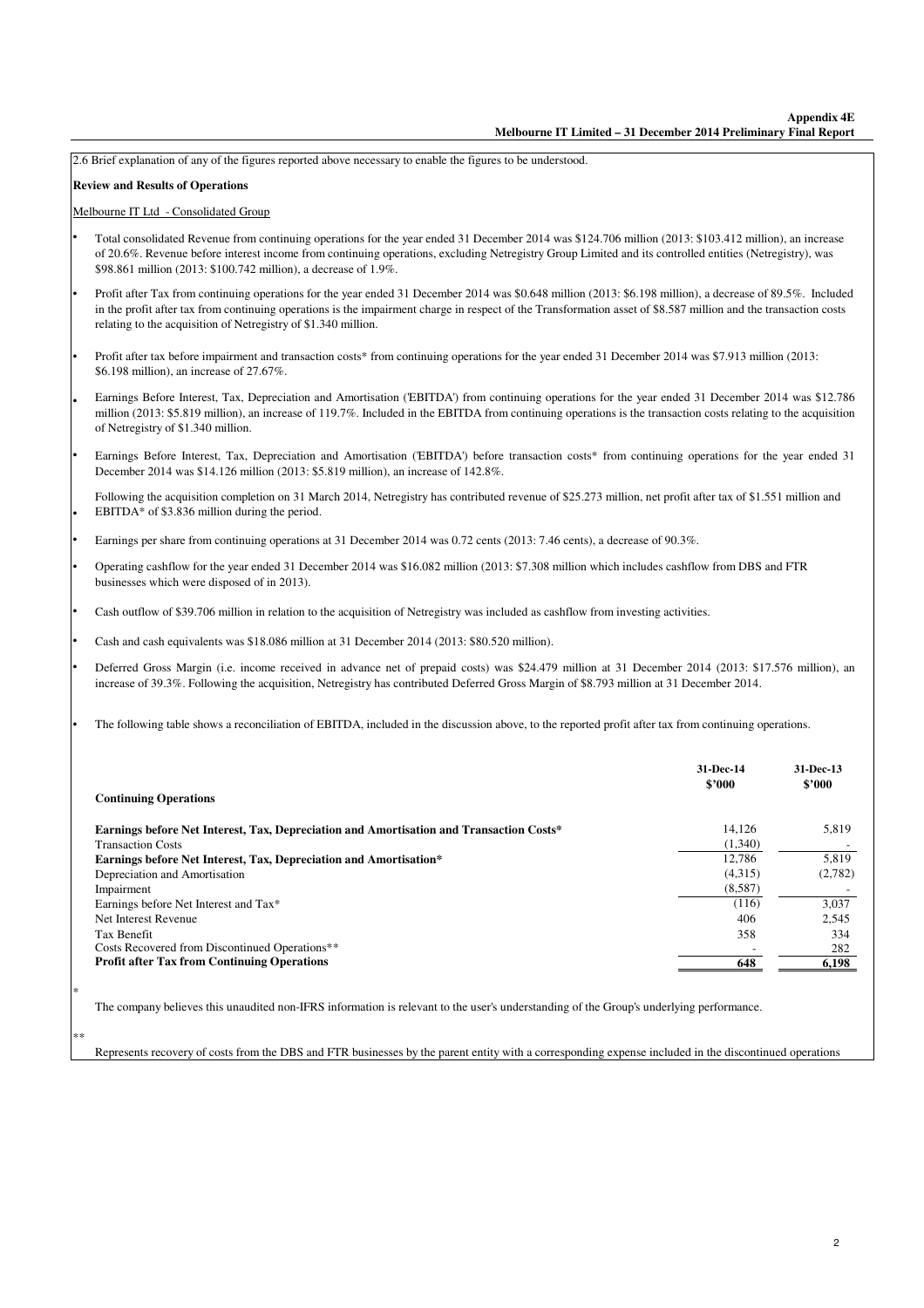2.6 Brief explanation of any of the figures reported above necessary to enable the figures to be understood.

#### **Review and Results of Operations**

•

•

•

•

• • •

• • •

•

#### Melbourne IT Ltd - Consolidated Group

- Total consolidated Revenue from continuing operations for the year ended 31 December 2014 was \$124.706 million (2013: \$103.412 million), an increase of 20.6%. Revenue before interest income from continuing operations, excluding Netregistry Group Limited and its controlled entities (Netregistry), was \$98.861 million (2013: \$100.742 million), a decrease of 1.9%.
- Profit after Tax from continuing operations for the year ended 31 December 2014 was \$0.648 million (2013: \$6.198 million), a decrease of 89.5%. Included in the profit after tax from continuing operations is the impairment charge in respect of the Transformation asset of \$8.587 million and the transaction costs relating to the acquisition of Netregistry of \$1.340 million.
- Profit after tax before impairment and transaction costs\* from continuing operations for the year ended 31 December 2014 was \$7.913 million (2013: \$6.198 million), an increase of 27.67%.
- Earnings Before Interest, Tax, Depreciation and Amortisation ('EBITDA') from continuing operations for the year ended 31 December 2014 was \$12.786 million (2013: \$5.819 million), an increase of 119.7%. Included in the EBITDA from continuing operations is the transaction costs relating to the acquisition of Netregistry of \$1.340 million.
- Earnings Before Interest, Tax, Depreciation and Amortisation ('EBITDA') before transaction costs\* from continuing operations for the year ended 31 December 2014 was \$14.126 million (2013: \$5.819 million), an increase of 142.8%.
- Following the acquisition completion on 31 March 2014, Netregistry has contributed revenue of \$25.273 million, net profit after tax of \$1.551 million and EBITDA\* of \$3.836 million during the period.
- Earnings per share from continuing operations at 31 December 2014 was 0.72 cents (2013: 7.46 cents), a decrease of 90.3%.
- Operating cashflow for the year ended 31 December 2014 was \$16.082 million (2013: \$7.308 million which includes cashflow from DBS and FTR businesses which were disposed of in 2013).
- Cash outflow of \$39.706 million in relation to the acquisition of Netregistry was included as cashflow from investing activities.
- Cash and cash equivalents was \$18.086 million at 31 December 2014 (2013: \$80.520 million).
- Deferred Gross Margin (i.e. income received in advance net of prepaid costs) was \$24.479 million at 31 December 2014 (2013: \$17.576 million), an increase of 39.3%. Following the acquisition, Netregistry has contributed Deferred Gross Margin of \$8.793 million at 31 December 2014.
- The following table shows a reconciliation of EBITDA, included in the discussion above, to the reported profit after tax from continuing operations.

| <b>Continuing Operations</b>                                                            | 31-Dec-14<br>\$2000 | 31-Dec-13<br>\$2000 |
|-----------------------------------------------------------------------------------------|---------------------|---------------------|
| Earnings before Net Interest, Tax, Depreciation and Amortisation and Transaction Costs* | 14.126              | 5,819               |
| <b>Transaction Costs</b>                                                                | (1,340)             |                     |
| Earnings before Net Interest, Tax, Depreciation and Amortisation*                       | 12.786              | 5,819               |
| Depreciation and Amortisation                                                           | (4,315)             | (2,782)             |
| Impairment                                                                              | (8,587)             |                     |
| Earnings before Net Interest and Tax*                                                   | (116)               | 3,037               |
| Net Interest Revenue                                                                    | 406                 | 2.545               |
| Tax Benefit                                                                             | 358                 | 334                 |
| Costs Recovered from Discontinued Operations**                                          |                     | 282                 |
| <b>Profit after Tax from Continuing Operations</b>                                      | 648                 | 6,198               |

The company believes this unaudited non-IFRS information is relevant to the user's understanding of the Group's underlying performance.

\*\*

\*

Represents recovery of costs from the DBS and FTR businesses by the parent entity with a corresponding expense included in the discontinued operations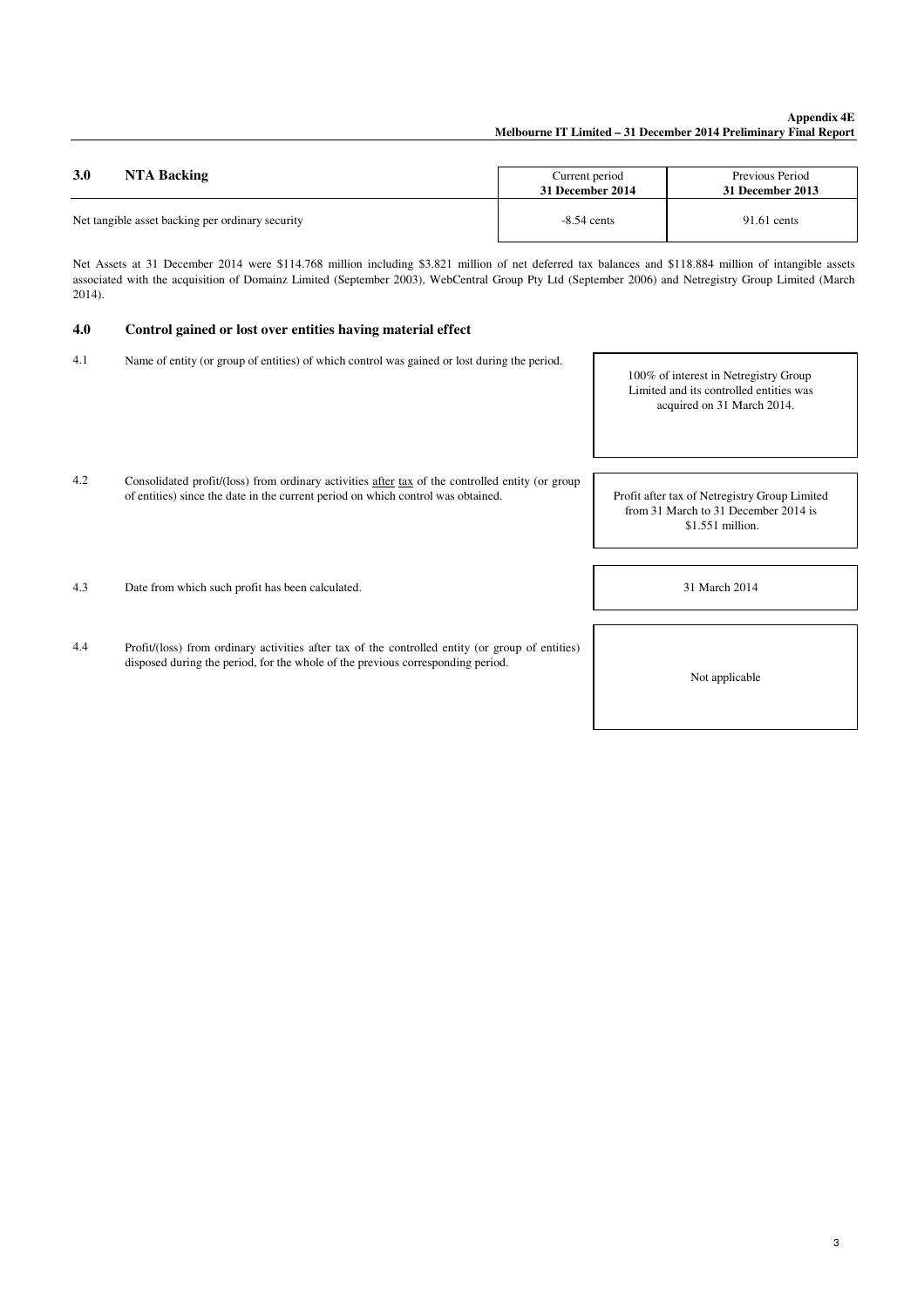# **Appendix 4E Melbourne IT Limited – 31 December 2014 Preliminary Final Report**

| 3.0                                              | Current period   | Previous Period  |
|--------------------------------------------------|------------------|------------------|
| NTA Backing                                      | 31 December 2014 | 31 December 2013 |
| Net tangible asset backing per ordinary security | $-8.54$ cents    | $91.61$ cents    |

Net Assets at 31 December 2014 were \$114.768 million including \$3.821 million of net deferred tax balances and \$118.884 million of intangible assets associated with the acquisition of Domainz Limited (September 2003), WebCentral Group Pty Ltd (September 2006) and Netregistry Group Limited (March 2014).

#### **Control gained or lost over entities having material effect 4.0**

- 4.1 Name of entity (or group of entities) of which control was gained or lost during the period.
- 100% of interest in Netregistry Group Limited and its controlled entities was acquired on 31 March 2014.
- 4.2 Consolidated profit/(loss) from ordinary activities after tax of the controlled entity (or group of entities) since the date in the current period on which control was obtained.

31 March 2014

Profit after tax of Netregistry Group Limited from 31 March to 31 December 2014 is \$1.551 million.

4.3 Date from which such profit has been calculated.

4.4 Profit/(loss) from ordinary activities after tax of the controlled entity (or group of entities) disposed during the period, for the whole of the previous corresponding period.

Not applicable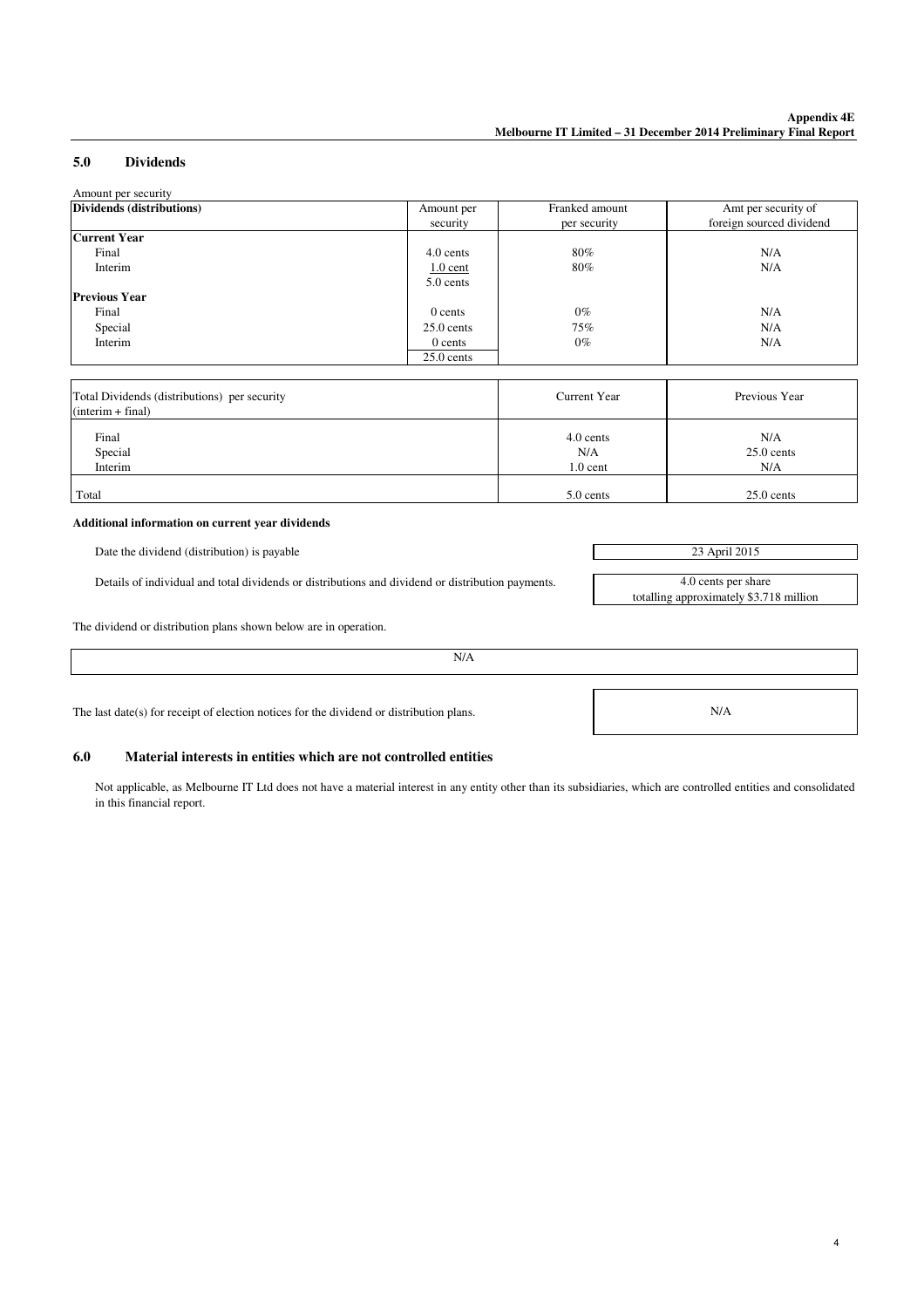4

N/A

totalling approximately \$3.718 million

#### **Dividends**  Amount per security **5.0**

| Dividends (distributions) | Amount per   | Franked amount | Amt per security of      |
|---------------------------|--------------|----------------|--------------------------|
|                           | security     | per security   | foreign sourced dividend |
| <b>Current Year</b>       |              |                |                          |
| Final                     | 4.0 cents    | 80%            | N/A                      |
| Interim                   | $1.0$ cent   | 80%            | N/A                      |
|                           | 5.0 cents    |                |                          |
| <b>Previous Year</b>      |              |                |                          |
| Final                     | 0 cents      | $0\%$          | N/A                      |
| Special                   | $25.0$ cents | 75%            | N/A                      |
| Interim                   | $0$ cents    | $0\%$          | N/A                      |
|                           | $25.0$ cents |                |                          |

| Total Dividends (distributions) per security<br>$(interim + final)$ | Current Year | Previous Year |
|---------------------------------------------------------------------|--------------|---------------|
| Final                                                               | 4.0 cents    | N/A           |
| Special                                                             | N/A          | $25.0$ cents  |
| Interim                                                             | $1.0$ cent   | N/A           |
| Total                                                               | 5.0 cents    | $25.0$ cents  |

#### **Additional information on current year dividends**

Date the dividend (distribution) is payable 23 April 2015

Details of individual and total dividends or distributions and dividend or distribution payments. 4.0 cents per share

The dividend or distribution plans shown below are in operation.

The last date(s) for receipt of election notices for the dividend or distribution plans.

# **6.0 Material interests in entities which are not controlled entities**

Not applicable, as Melbourne IT Ltd does not have a material interest in any entity other than its subsidiaries, which are controlled entities and consolidated in this financial report.

N/A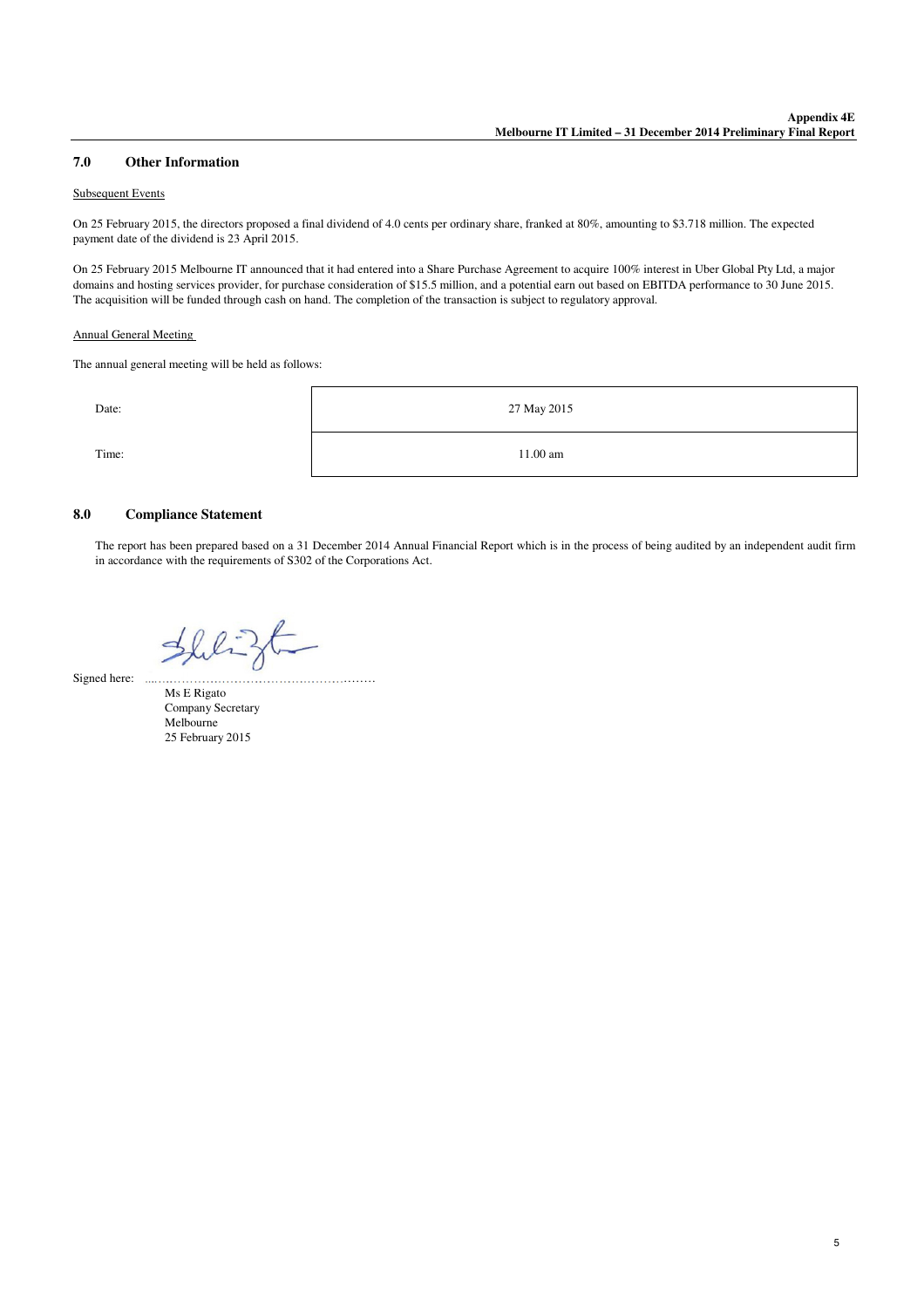#### **Other Information 7.0**

#### Subsequent Events

On 25 February 2015, the directors proposed a final dividend of 4.0 cents per ordinary share, franked at 80%, amounting to \$3.718 million. The expected payment date of the dividend is 23 April 2015.

On 25 February 2015 Melbourne IT announced that it had entered into a Share Purchase Agreement to acquire 100% interest in Uber Global Pty Ltd, a major domains and hosting services provider, for purchase consideration of \$15.5 million, and a potential earn out based on EBITDA performance to 30 June 2015. The acquisition will be funded through cash on hand. The completion of the transaction is subject to regulatory approval.

#### Annual General Meeting

The annual general meeting will be held as follows:



#### **Compliance Statement 8.0**

The report has been prepared based on a 31 December 2014 Annual Financial Report which is in the process of being audited by an independent audit firm in accordance with the requirements of S302 of the Corporations Act.

Shligt

Signed here: ...….……………………………………………

Ms E Rigato Company Secretary Melbourne 25 February 2015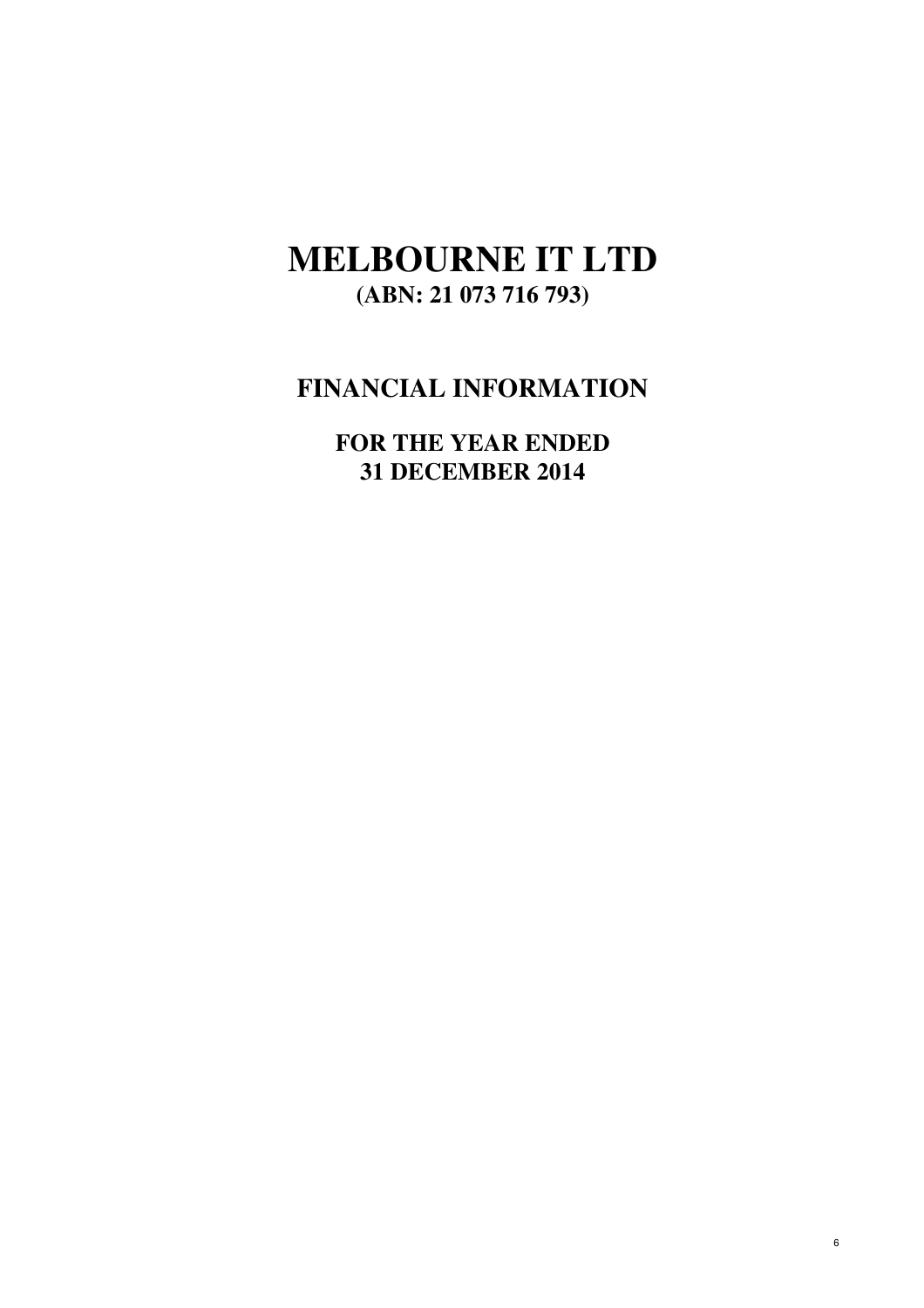# **MELBOURNE IT LTD (ABN: 21 073 716 793)**

# **FINANCIAL INFORMATION**

**31 DECEMBER 2014 FOR THE YEAR ENDED**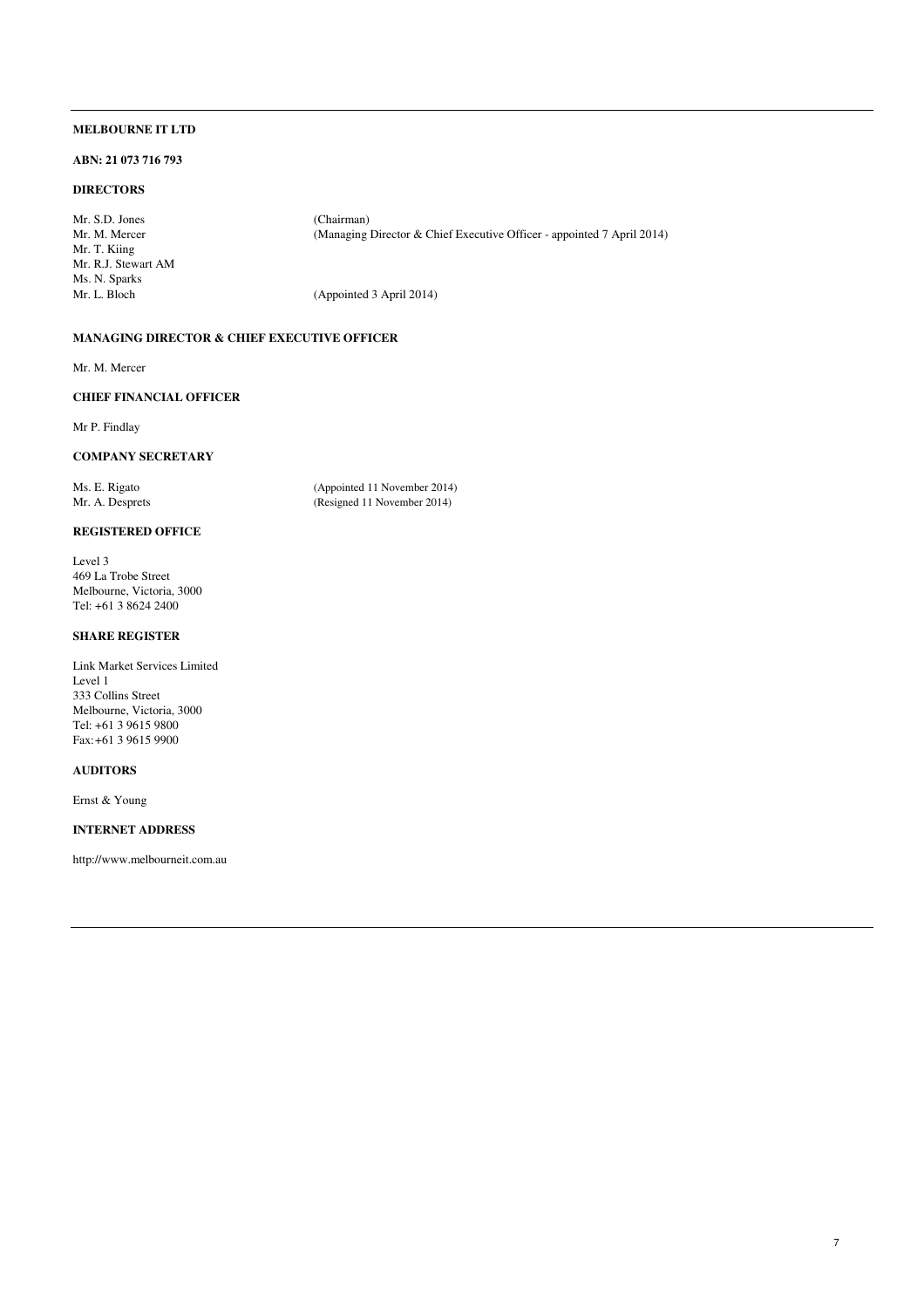#### **ABN: 21 073 716 793**

# **DIRECTORS**

Mr. S.D. Jones (Chairman)<br>Mr. M. Mercer (Managing ) Mr. T. Kiing Mr. R.J. Stewart AM Ms. N. Sparks

(Managing Director & Chief Executive Officer - appointed 7 April 2014)

(Appointed 3 April 2014)

# **MANAGING DIRECTOR & CHIEF EXECUTIVE OFFICER**

Mr. M. Mercer

# **CHIEF FINANCIAL OFFICER**

Mr P. Findlay

# **COMPANY SECRETARY**

Ms. E. Rigato (Appointed 11 November 2014)<br>Mr. A. Desprets (Resigned 11 November 2014) (Resigned 11 November 2014)

# **REGISTERED OFFICE**

Level 3 469 La Trobe Street Melbourne, Victoria, 3000 Tel: +61 3 8624 2400

# **SHARE REGISTER**

Link Market Services Limited Level 1 333 Collins Street Melbourne, Victoria, 3000 Tel: +61 3 9615 9800 Fax:+61 3 9615 9900

#### **AUDITORS**

Ernst & Young

# **INTERNET ADDRESS**

http://www.melbourneit.com.au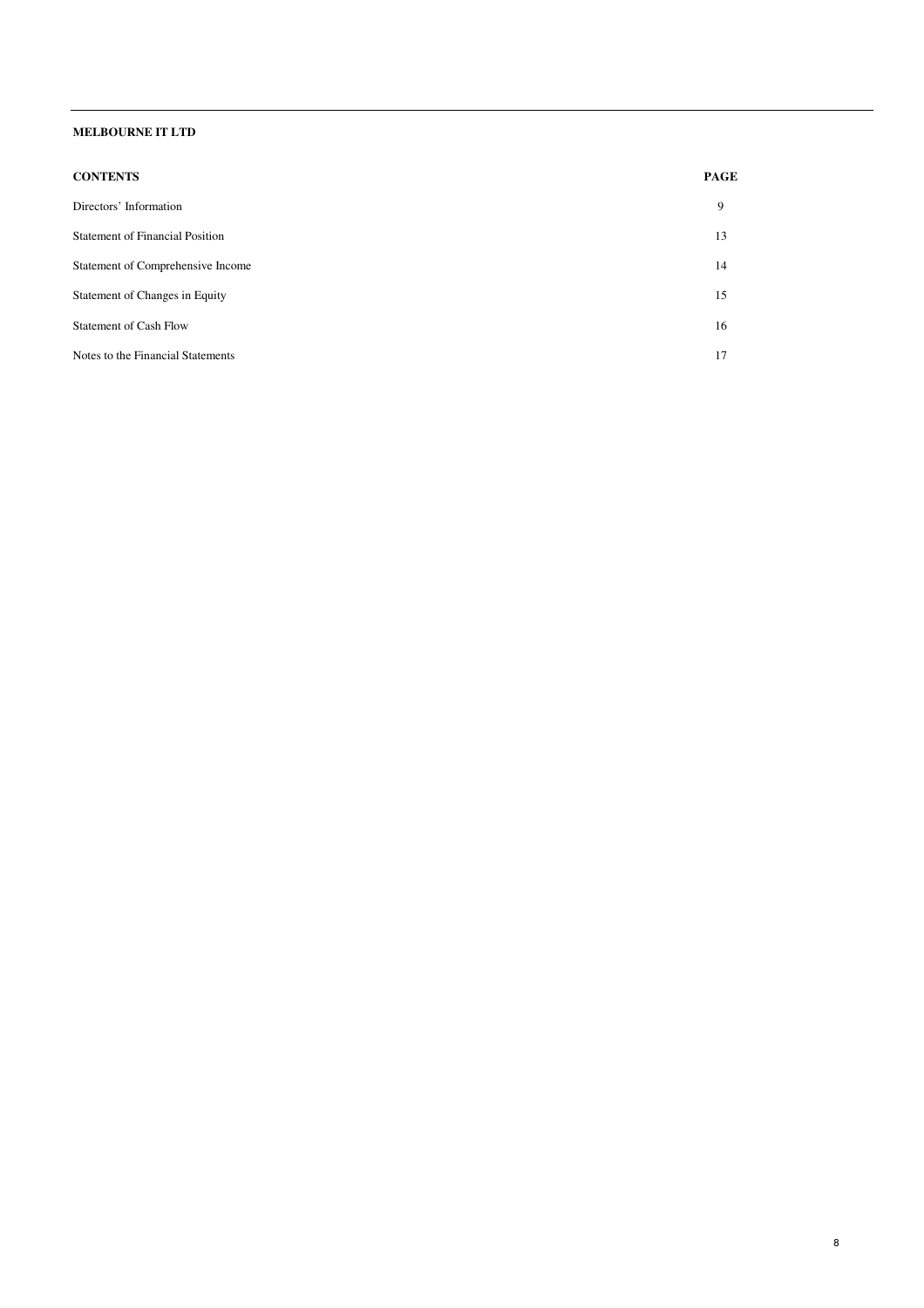| <b>CONTENTS</b>                        | <b>PAGE</b> |
|----------------------------------------|-------------|
| Directors' Information                 | 9           |
| <b>Statement of Financial Position</b> | 13          |
| Statement of Comprehensive Income      | 14          |
| Statement of Changes in Equity         | 15          |
| <b>Statement of Cash Flow</b>          | 16          |
| Notes to the Financial Statements      | 17          |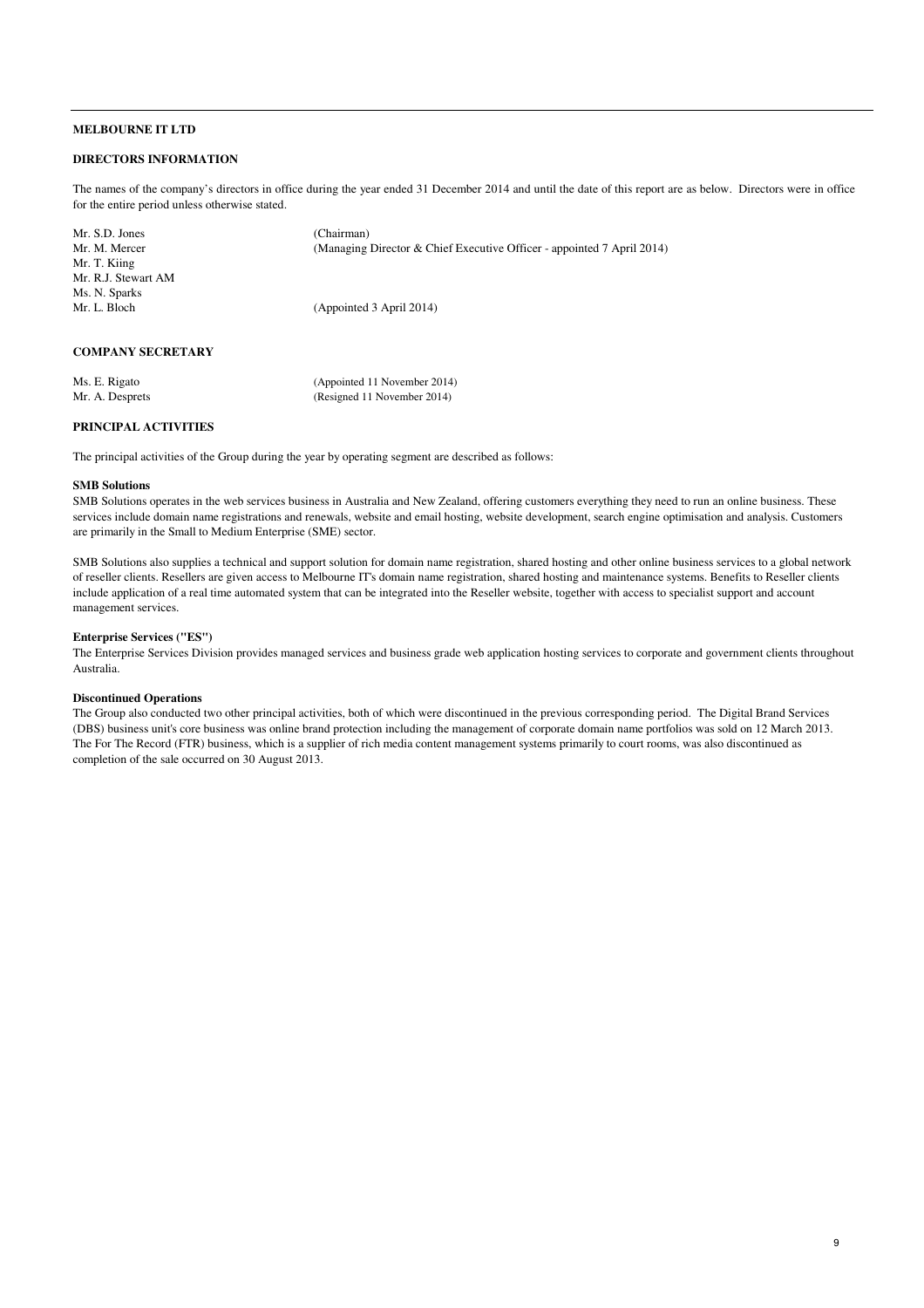## **DIRECTORS INFORMATION**

The names of the company's directors in office during the year ended 31 December 2014 and until the date of this report are as below. Directors were in office for the entire period unless otherwise stated.

| Mr. S.D. Jones      | (Chairman)                                                             |
|---------------------|------------------------------------------------------------------------|
| Mr. M. Mercer       | (Managing Director & Chief Executive Officer - appointed 7 April 2014) |
| Mr. T. Kiing        |                                                                        |
| Mr. R.J. Stewart AM |                                                                        |
| Ms. N. Sparks       |                                                                        |
| Mr. L. Bloch        | (Appointed 3 April 2014)                                               |
|                     |                                                                        |
|                     |                                                                        |
|                     |                                                                        |

# **COMPANY SECRETARY**

| Ms. E. Rigato   | (Appointed 11 November 2014) |
|-----------------|------------------------------|
| Mr. A. Desprets | (Resigned 11 November 2014)  |

#### **PRINCIPAL ACTIVITIES**

The principal activities of the Group during the year by operating segment are described as follows:

#### **SMB Solutions**

SMB Solutions operates in the web services business in Australia and New Zealand, offering customers everything they need to run an online business. These services include domain name registrations and renewals, website and email hosting, website development, search engine optimisation and analysis. Customers are primarily in the Small to Medium Enterprise (SME) sector.

SMB Solutions also supplies a technical and support solution for domain name registration, shared hosting and other online business services to a global network of reseller clients. Resellers are given access to Melbourne IT's domain name registration, shared hosting and maintenance systems. Benefits to Reseller clients include application of a real time automated system that can be integrated into the Reseller website, together with access to specialist support and account management services.

# **Enterprise Services ("ES")**

The Enterprise Services Division provides managed services and business grade web application hosting services to corporate and government clients throughout Australia.

#### **Discontinued Operations**

The Group also conducted two other principal activities, both of which were discontinued in the previous corresponding period. The Digital Brand Services (DBS) business unit's core business was online brand protection including the management of corporate domain name portfolios was sold on 12 March 2013. The For The Record (FTR) business, which is a supplier of rich media content management systems primarily to court rooms, was also discontinued as completion of the sale occurred on 30 August 2013.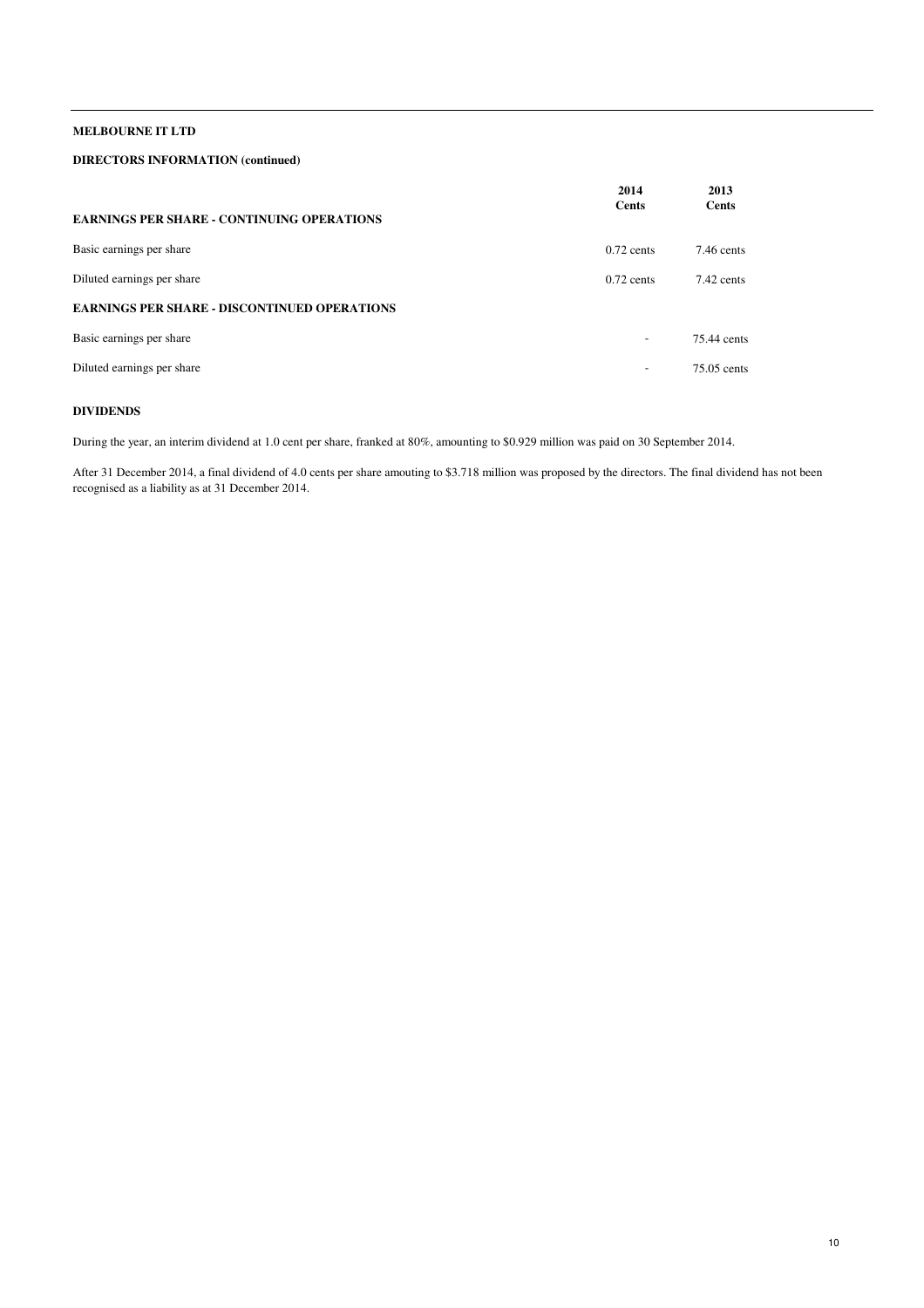# **DIRECTORS INFORMATION (continued)**

|                                                     | 2014<br>Cents | 2013<br><b>Cents</b> |
|-----------------------------------------------------|---------------|----------------------|
| <b>EARNINGS PER SHARE - CONTINUING OPERATIONS</b>   |               |                      |
| Basic earnings per share                            | $0.72$ cents  | $7.46$ cents         |
| Diluted earnings per share                          | $0.72$ cents  | 7.42 cents           |
| <b>EARNINGS PER SHARE - DISCONTINUED OPERATIONS</b> |               |                      |
| Basic earnings per share                            | ۰             | 75.44 cents          |
| Diluted earnings per share                          | ٠             | 75.05 cents          |

# **DIVIDENDS**

During the year, an interim dividend at 1.0 cent per share, franked at 80%, amounting to \$0.929 million was paid on 30 September 2014.

After 31 December 2014, a final dividend of 4.0 cents per share amouting to \$3.718 million was proposed by the directors. The final dividend has not been recognised as a liability as at 31 December 2014.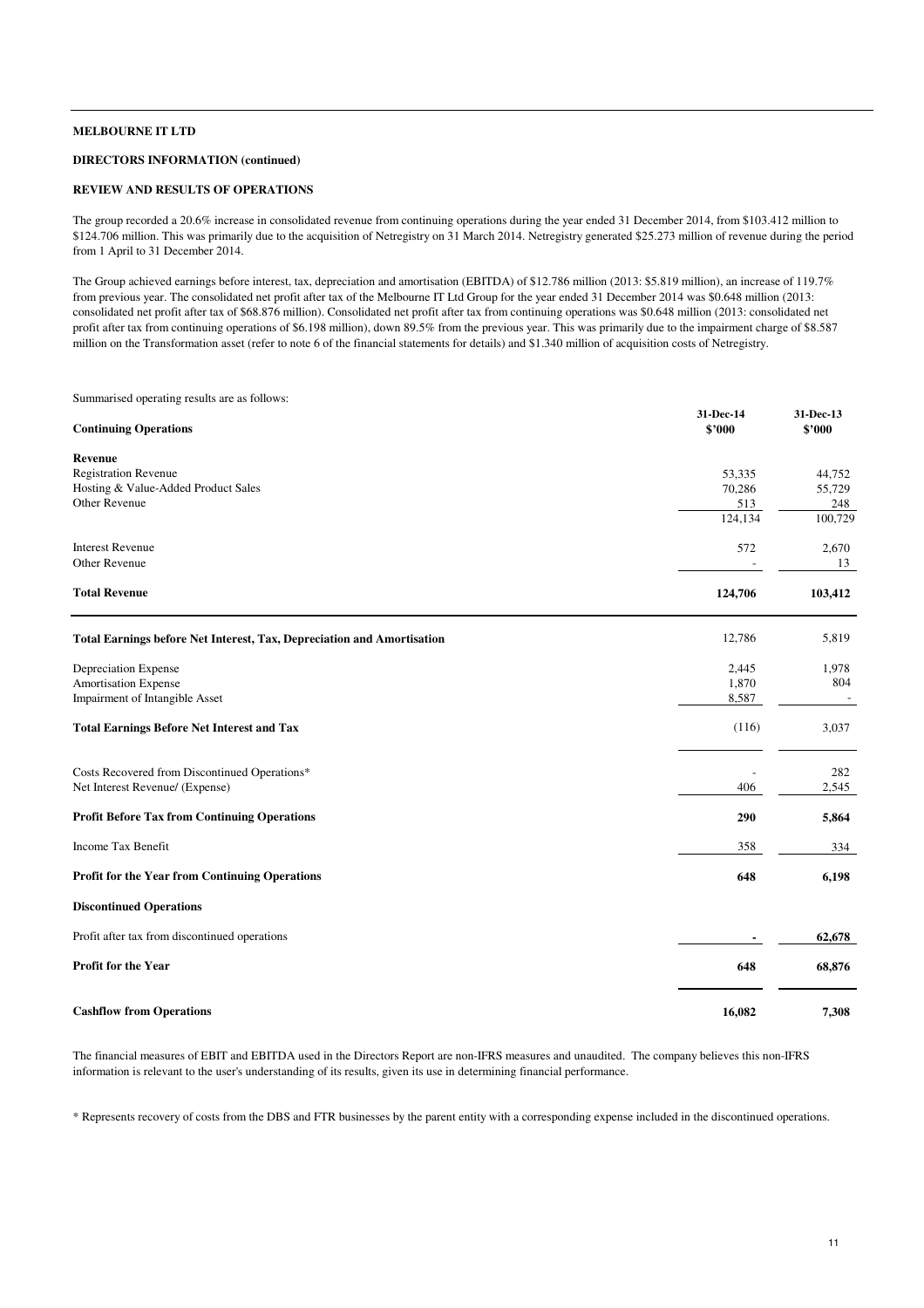### **DIRECTORS INFORMATION (continued)**

#### **REVIEW AND RESULTS OF OPERATIONS**

The group recorded a 20.6% increase in consolidated revenue from continuing operations during the year ended 31 December 2014, from \$103.412 million to \$124.706 million. This was primarily due to the acquisition of Netregistry on 31 March 2014. Netregistry generated \$25.273 million of revenue during the period from 1 April to 31 December 2014.

The Group achieved earnings before interest, tax, depreciation and amortisation (EBITDA) of \$12.786 million (2013: \$5.819 million), an increase of 119.7% from previous year. The consolidated net profit after tax of the Melbourne IT Ltd Group for the year ended 31 December 2014 was \$0.648 million (2013: consolidated net profit after tax of \$68.876 million). Consolidated net profit after tax from continuing operations was \$0.648 million (2013: consolidated net profit after tax from continuing operations of \$6.198 million), down 89.5% from the previous year. This was primarily due to the impairment charge of \$8.587 million on the Transformation asset (refer to note 6 of the financial statements for details) and \$1.340 million of acquisition costs of Netregistry.

Summarised operating results are as follows:

| <b>Continuing Operations</b>                                           | 31-Dec-14<br>\$'000 | 31-Dec-13<br>\$'000 |
|------------------------------------------------------------------------|---------------------|---------------------|
| Revenue                                                                |                     |                     |
| <b>Registration Revenue</b>                                            | 53,335              | 44,752              |
| Hosting & Value-Added Product Sales                                    | 70,286              | 55,729              |
| <b>Other Revenue</b>                                                   | 513                 | 248                 |
|                                                                        | 124,134             | 100,729             |
| <b>Interest Revenue</b>                                                | 572                 | 2,670               |
| <b>Other Revenue</b>                                                   |                     | 13                  |
| <b>Total Revenue</b>                                                   | 124,706             | 103,412             |
| Total Earnings before Net Interest, Tax, Depreciation and Amortisation | 12,786              | 5,819               |
| Depreciation Expense                                                   | 2,445               | 1,978               |
| <b>Amortisation Expense</b>                                            | 1,870               | 804                 |
| Impairment of Intangible Asset                                         | 8,587               |                     |
| <b>Total Earnings Before Net Interest and Tax</b>                      | (116)               | 3,037               |
| Costs Recovered from Discontinued Operations*                          |                     | 282                 |
| Net Interest Revenue/ (Expense)                                        | 406                 | 2,545               |
| <b>Profit Before Tax from Continuing Operations</b>                    | 290                 | 5,864               |
| <b>Income Tax Benefit</b>                                              | 358                 | 334                 |
| Profit for the Year from Continuing Operations                         | 648                 | 6,198               |
| <b>Discontinued Operations</b>                                         |                     |                     |
| Profit after tax from discontinued operations                          |                     | 62,678              |
| Profit for the Year                                                    | 648                 | 68,876              |
| <b>Cashflow from Operations</b>                                        | 16,082              | 7,308               |

The financial measures of EBIT and EBITDA used in the Directors Report are non-IFRS measures and unaudited. The company believes this non-IFRS information is relevant to the user's understanding of its results, given its use in determining financial performance.

\* Represents recovery of costs from the DBS and FTR businesses by the parent entity with a corresponding expense included in the discontinued operations.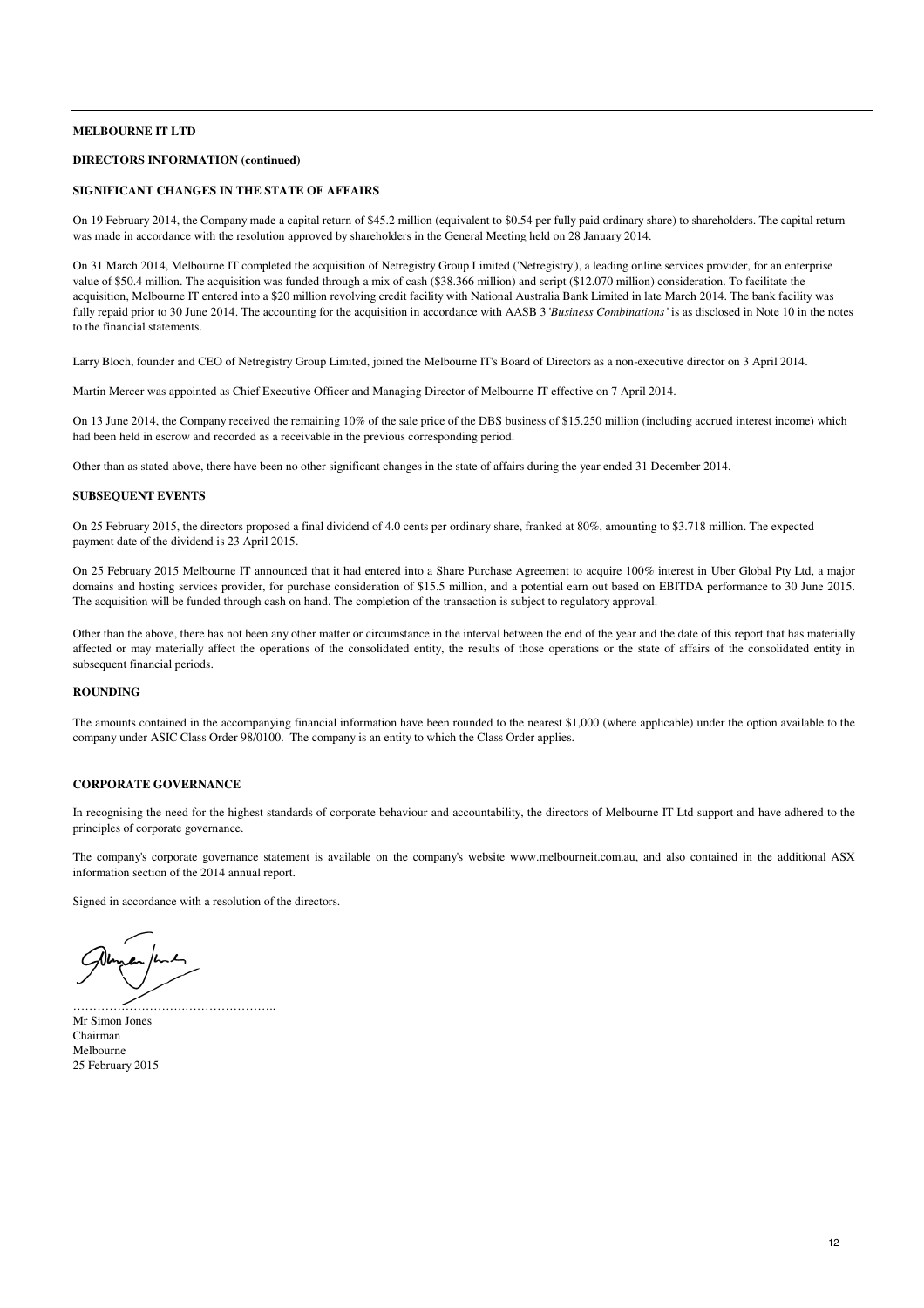# **DIRECTORS INFORMATION (continued)**

#### **SIGNIFICANT CHANGES IN THE STATE OF AFFAIRS**

On 19 February 2014, the Company made a capital return of \$45.2 million (equivalent to \$0.54 per fully paid ordinary share) to shareholders. The capital return was made in accordance with the resolution approved by shareholders in the General Meeting held on 28 January 2014.

On 31 March 2014, Melbourne IT completed the acquisition of Netregistry Group Limited ('Netregistry'), a leading online services provider, for an enterprise value of \$50.4 million. The acquisition was funded through a mix of cash (\$38.366 million) and script (\$12.070 million) consideration. To facilitate the acquisition, Melbourne IT entered into a \$20 million revolving credit facility with National Australia Bank Limited in late March 2014. The bank facility was fully repaid prior to 30 June 2014. The accounting for the acquisition in accordance with AASB 3 '*Business Combinations*' is as disclosed in Note 10 in the notes to the financial statements.

Larry Bloch, founder and CEO of Netregistry Group Limited, joined the Melbourne IT's Board of Directors as a non-executive director on 3 April 2014.

Martin Mercer was appointed as Chief Executive Officer and Managing Director of Melbourne IT effective on 7 April 2014.

On 13 June 2014, the Company received the remaining 10% of the sale price of the DBS business of \$15.250 million (including accrued interest income) which had been held in escrow and recorded as a receivable in the previous corresponding period.

Other than as stated above, there have been no other significant changes in the state of affairs during the year ended 31 December 2014.

#### **SUBSEQUENT EVENTS**

On 25 February 2015, the directors proposed a final dividend of 4.0 cents per ordinary share, franked at 80%, amounting to \$3.718 million. The expected payment date of the dividend is 23 April 2015.

On 25 February 2015 Melbourne IT announced that it had entered into a Share Purchase Agreement to acquire 100% interest in Uber Global Pty Ltd, a major domains and hosting services provider, for purchase consideration of \$15.5 million, and a potential earn out based on EBITDA performance to 30 June 2015. The acquisition will be funded through cash on hand. The completion of the transaction is subject to regulatory approval.

Other than the above, there has not been any other matter or circumstance in the interval between the end of the year and the date of this report that has materially affected or may materially affect the operations of the consolidated entity, the results of those operations or the state of affairs of the consolidated entity in subsequent financial periods.

# **ROUNDING**

The amounts contained in the accompanying financial information have been rounded to the nearest \$1,000 (where applicable) under the option available to the company under ASIC Class Order 98/0100. The company is an entity to which the Class Order applies.

#### **CORPORATE GOVERNANCE**

In recognising the need for the highest standards of corporate behaviour and accountability, the directors of Melbourne IT Ltd support and have adhered to the principles of corporate governance.

The company's corporate governance statement is available on the company's website www.melbourneit.com.au, and also contained in the additional ASX information section of the 2014 annual report.

Signed in accordance with a resolution of the directors.

…………………………

Mr Simon Jones Chairman Melbourne 25 February 2015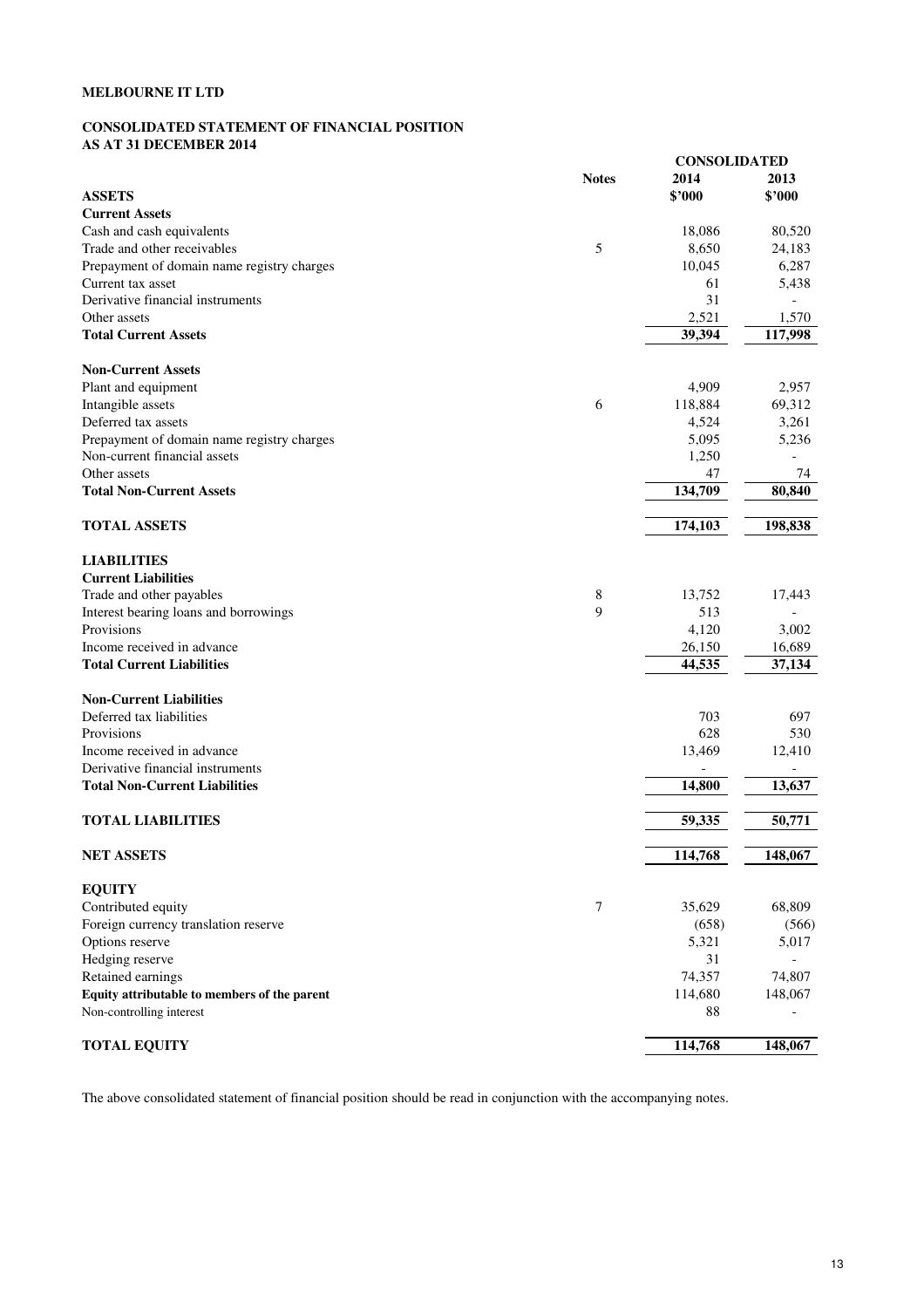# **CONSOLIDATED STATEMENT OF FINANCIAL POSITION AS AT 31 DECEMBER 2014**

|                                              |              | <b>CONSOLIDATED</b> |         |
|----------------------------------------------|--------------|---------------------|---------|
|                                              | <b>Notes</b> | 2014                | 2013    |
| <b>ASSETS</b>                                |              | \$'000              | \$'000  |
| <b>Current Assets</b>                        |              |                     |         |
| Cash and cash equivalents                    |              | 18,086              | 80,520  |
| Trade and other receivables                  | 5            | 8,650               | 24,183  |
| Prepayment of domain name registry charges   |              | 10,045              | 6,287   |
| Current tax asset                            |              | 61                  | 5,438   |
| Derivative financial instruments             |              | 31                  |         |
| Other assets                                 |              | 2,521               | 1,570   |
| <b>Total Current Assets</b>                  |              | 39,394              | 117,998 |
| <b>Non-Current Assets</b>                    |              |                     |         |
| Plant and equipment                          |              | 4,909               | 2,957   |
| Intangible assets                            | 6            | 118,884             | 69,312  |
| Deferred tax assets                          |              | 4,524               | 3,261   |
| Prepayment of domain name registry charges   |              | 5,095               | 5,236   |
| Non-current financial assets                 |              | 1,250               |         |
| Other assets                                 |              | 47                  | 74      |
| <b>Total Non-Current Assets</b>              |              | 134,709             | 80,840  |
| <b>TOTAL ASSETS</b>                          |              | 174,103             | 198,838 |
|                                              |              |                     |         |
| <b>LIABILITIES</b>                           |              |                     |         |
| <b>Current Liabilities</b>                   |              |                     |         |
| Trade and other payables                     | 8            | 13,752              | 17,443  |
| Interest bearing loans and borrowings        | 9            | 513                 |         |
| Provisions                                   |              | 4,120               | 3,002   |
| Income received in advance                   |              | 26,150              | 16,689  |
| <b>Total Current Liabilities</b>             |              | 44,535              | 37,134  |
| <b>Non-Current Liabilities</b>               |              |                     |         |
| Deferred tax liabilities                     |              | 703                 | 697     |
| Provisions                                   |              | 628                 | 530     |
| Income received in advance                   |              | 13,469              | 12,410  |
| Derivative financial instruments             |              |                     | -       |
| <b>Total Non-Current Liabilities</b>         |              | 14,800              | 13,637  |
| <b>TOTAL LIABILITIES</b>                     |              | 59,335              | 50,771  |
|                                              |              |                     |         |
| <b>NET ASSETS</b>                            |              | 114,768             | 148,067 |
| <b>EQUITY</b>                                |              |                     |         |
| Contributed equity                           | 7            | 35,629              | 68,809  |
| Foreign currency translation reserve         |              | (658)               | (566)   |
| Options reserve                              |              | 5,321               | 5,017   |
| Hedging reserve                              |              | 31                  |         |
| Retained earnings                            |              | 74,357              | 74,807  |
| Equity attributable to members of the parent |              | 114,680             | 148,067 |
| Non-controlling interest                     |              | 88                  |         |
| <b>TOTAL EQUITY</b>                          |              | 114,768             | 148,067 |

The above consolidated statement of financial position should be read in conjunction with the accompanying notes.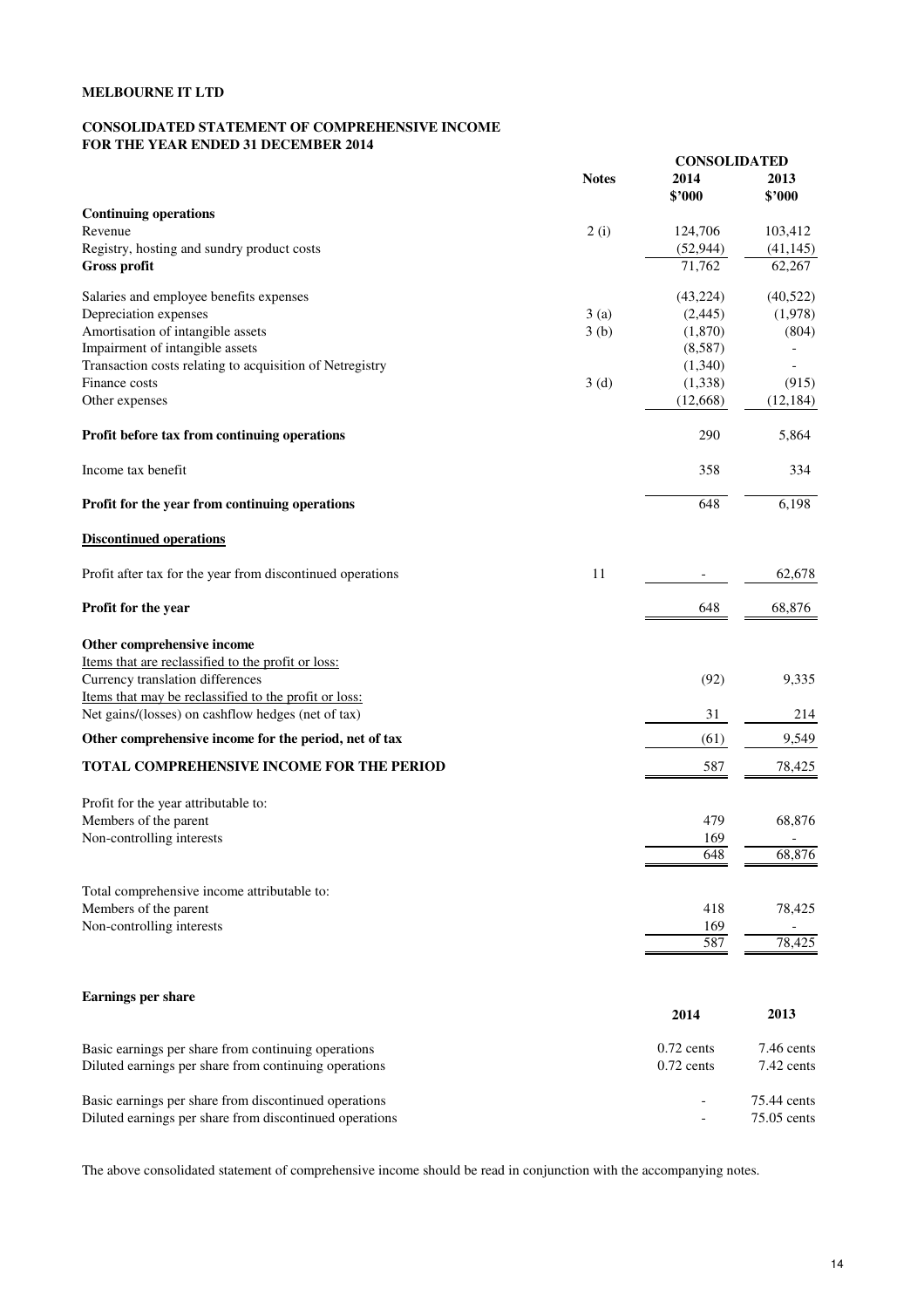# **CONSOLIDATED STATEMENT OF COMPREHENSIVE INCOME FOR THE YEAR ENDED 31 DECEMBER 2014**

|                                                            |              |                | <b>CONSOLIDATED</b>      |  |
|------------------------------------------------------------|--------------|----------------|--------------------------|--|
|                                                            | <b>Notes</b> | 2014<br>\$'000 | 2013<br>\$2000           |  |
| <b>Continuing operations</b>                               |              |                |                          |  |
| Revenue                                                    | 2(i)         | 124,706        | 103,412                  |  |
| Registry, hosting and sundry product costs                 |              | (52, 944)      | (41, 145)                |  |
| <b>Gross profit</b>                                        |              | 71,762         | 62,267                   |  |
| Salaries and employee benefits expenses                    |              | (43, 224)      | (40,522)                 |  |
| Depreciation expenses                                      | 3(a)         | (2,445)        | (1,978)                  |  |
| Amortisation of intangible assets                          | 3(b)         | (1,870)        | (804)                    |  |
| Impairment of intangible assets                            |              | (8,587)        |                          |  |
| Transaction costs relating to acquisition of Netregistry   |              | (1,340)        |                          |  |
| Finance costs                                              | 3(d)         | (1, 338)       | (915)                    |  |
| Other expenses                                             |              | (12, 668)      | (12, 184)                |  |
| Profit before tax from continuing operations               |              | 290            | 5,864                    |  |
| Income tax benefit                                         |              | 358            | 334                      |  |
| Profit for the year from continuing operations             |              | 648            | 6,198                    |  |
| <b>Discontinued operations</b>                             |              |                |                          |  |
| Profit after tax for the year from discontinued operations | 11           |                | 62,678                   |  |
| Profit for the year                                        |              | 648            | 68,876                   |  |
| Other comprehensive income                                 |              |                |                          |  |
| Items that are reclassified to the profit or loss:         |              |                |                          |  |
| Currency translation differences                           |              | (92)           | 9,335                    |  |
| Items that may be reclassified to the profit or loss:      |              |                |                          |  |
| Net gains/(losses) on cashflow hedges (net of tax)         |              | 31             | 214                      |  |
| Other comprehensive income for the period, net of tax      |              | (61)           | 9,549                    |  |
| TOTAL COMPREHENSIVE INCOME FOR THE PERIOD                  |              | 587            | 78,425                   |  |
| Profit for the year attributable to:                       |              |                |                          |  |
| Members of the parent                                      |              | 479            | 68,876                   |  |
| Non-controlling interests                                  |              | 169            | $\overline{\phantom{a}}$ |  |
|                                                            |              | 648            | 68,876                   |  |
|                                                            |              |                |                          |  |
| Total comprehensive income attributable to:                |              |                |                          |  |
| Members of the parent                                      |              | 418            | 78,425                   |  |
| Non-controlling interests                                  |              | 169<br>587     | 78,425                   |  |
|                                                            |              |                |                          |  |
| <b>Earnings per share</b>                                  |              |                |                          |  |
|                                                            |              | 2014           | 2013                     |  |
| Basic earnings per share from continuing operations        |              | $0.72$ cents   | 7.46 cents               |  |
| Diluted earnings per share from continuing operations      |              | $0.72$ cents   | 7.42 cents               |  |
| Basic earnings per share from discontinued operations      |              |                | 75.44 cents              |  |
| Diluted earnings per share from discontinued operations    |              |                | 75.05 cents              |  |

The above consolidated statement of comprehensive income should be read in conjunction with the accompanying notes.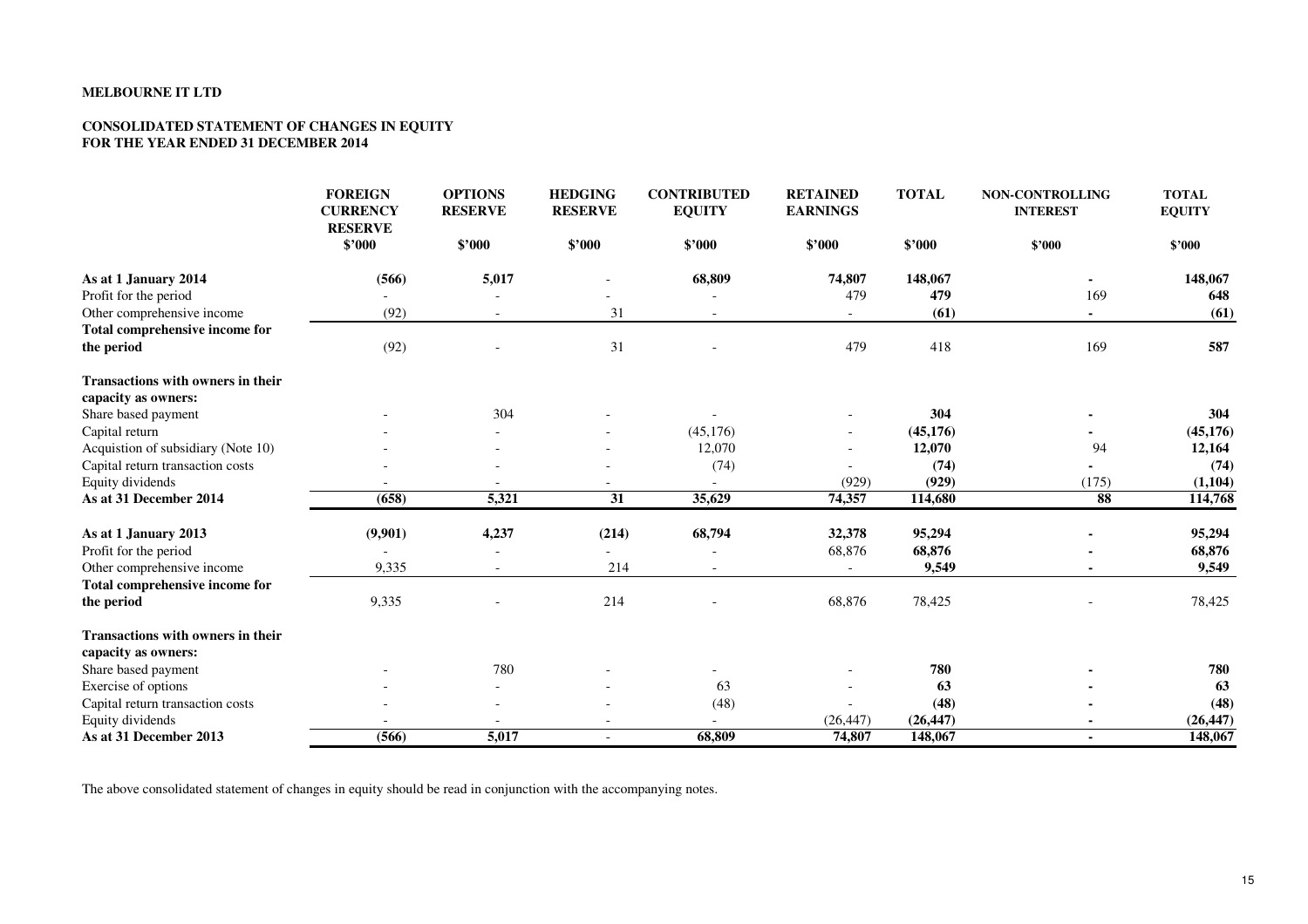# **CONSOLIDATED STATEMENT OF CHANGES IN EQUITY FOR THE YEAR ENDED 31 DECEMBER 2014**

|                                          | <b>FOREIGN</b><br><b>CURRENCY</b><br><b>RESERVE</b> | <b>OPTIONS</b><br><b>RESERVE</b> | <b>HEDGING</b><br><b>RESERVE</b> | <b>CONTRIBUTED</b><br><b>EQUITY</b> | <b>RETAINED</b><br><b>EARNINGS</b> | <b>TOTAL</b> | <b>NON-CONTROLLING</b><br><b>INTEREST</b> | <b>TOTAL</b><br><b>EQUITY</b> |
|------------------------------------------|-----------------------------------------------------|----------------------------------|----------------------------------|-------------------------------------|------------------------------------|--------------|-------------------------------------------|-------------------------------|
|                                          | \$'000                                              | \$2000                           | \$2000                           | \$'000                              | \$'000                             | \$'000       | \$'000                                    | \$'000                        |
| As at 1 January 2014                     | (566)                                               | 5,017                            |                                  | 68,809                              | 74,807                             | 148,067      | ۰                                         | 148,067                       |
| Profit for the period                    |                                                     |                                  |                                  |                                     | 479                                | 479          | 169                                       | 648                           |
| Other comprehensive income               | (92)                                                |                                  | 31                               |                                     |                                    | (61)         |                                           | (61)                          |
| Total comprehensive income for           |                                                     |                                  |                                  |                                     |                                    |              |                                           |                               |
| the period                               | (92)                                                |                                  | 31                               |                                     | 479                                | 418          | 169                                       | 587                           |
| <b>Transactions with owners in their</b> |                                                     |                                  |                                  |                                     |                                    |              |                                           |                               |
| capacity as owners:                      |                                                     |                                  |                                  |                                     |                                    |              |                                           |                               |
| Share based payment                      |                                                     | 304                              |                                  |                                     |                                    | 304          |                                           | 304                           |
| Capital return                           |                                                     |                                  |                                  | (45, 176)                           |                                    | (45, 176)    |                                           | (45, 176)                     |
| Acquistion of subsidiary (Note 10)       |                                                     |                                  |                                  | 12,070                              |                                    | 12,070       | 94                                        | 12,164                        |
| Capital return transaction costs         |                                                     |                                  |                                  | (74)                                |                                    | (74)         |                                           | (74)                          |
| Equity dividends                         |                                                     |                                  |                                  |                                     | (929)                              | (929)        | (175)                                     | (1,104)                       |
| As at 31 December 2014                   | (658)                                               | 5,321                            | $\overline{31}$                  | 35,629                              | 74,357                             | 114,680      | 88                                        | 114,768                       |
| As at 1 January 2013                     | (9,901)                                             | 4,237                            | (214)                            | 68,794                              | 32,378                             | 95,294       |                                           | 95,294                        |
| Profit for the period                    |                                                     |                                  |                                  |                                     | 68,876                             | 68,876       |                                           | 68,876                        |
| Other comprehensive income               | 9,335                                               |                                  | 214                              |                                     |                                    | 9,549        |                                           | 9,549                         |
| Total comprehensive income for           |                                                     |                                  |                                  |                                     |                                    |              |                                           |                               |
| the period                               | 9,335                                               |                                  | 214                              |                                     | 68,876                             | 78,425       |                                           | 78,425                        |
| Transactions with owners in their        |                                                     |                                  |                                  |                                     |                                    |              |                                           |                               |
| capacity as owners:                      |                                                     |                                  |                                  |                                     |                                    |              |                                           |                               |
| Share based payment                      |                                                     | 780                              |                                  |                                     |                                    | 780          |                                           | 780                           |
| Exercise of options                      |                                                     |                                  |                                  | 63                                  |                                    | 63           |                                           | 63                            |
| Capital return transaction costs         |                                                     |                                  |                                  | (48)                                |                                    | (48)         |                                           | (48)                          |
| Equity dividends                         |                                                     |                                  |                                  |                                     | (26, 447)                          | (26, 447)    |                                           | (26, 447)                     |
| As at 31 December 2013                   | (566)                                               | 5,017                            | $\sim$                           | 68,809                              | 74,807                             | 148,067      | $\blacksquare$                            | 148,067                       |

The above consolidated statement of changes in equity should be read in conjunction with the accompanying notes.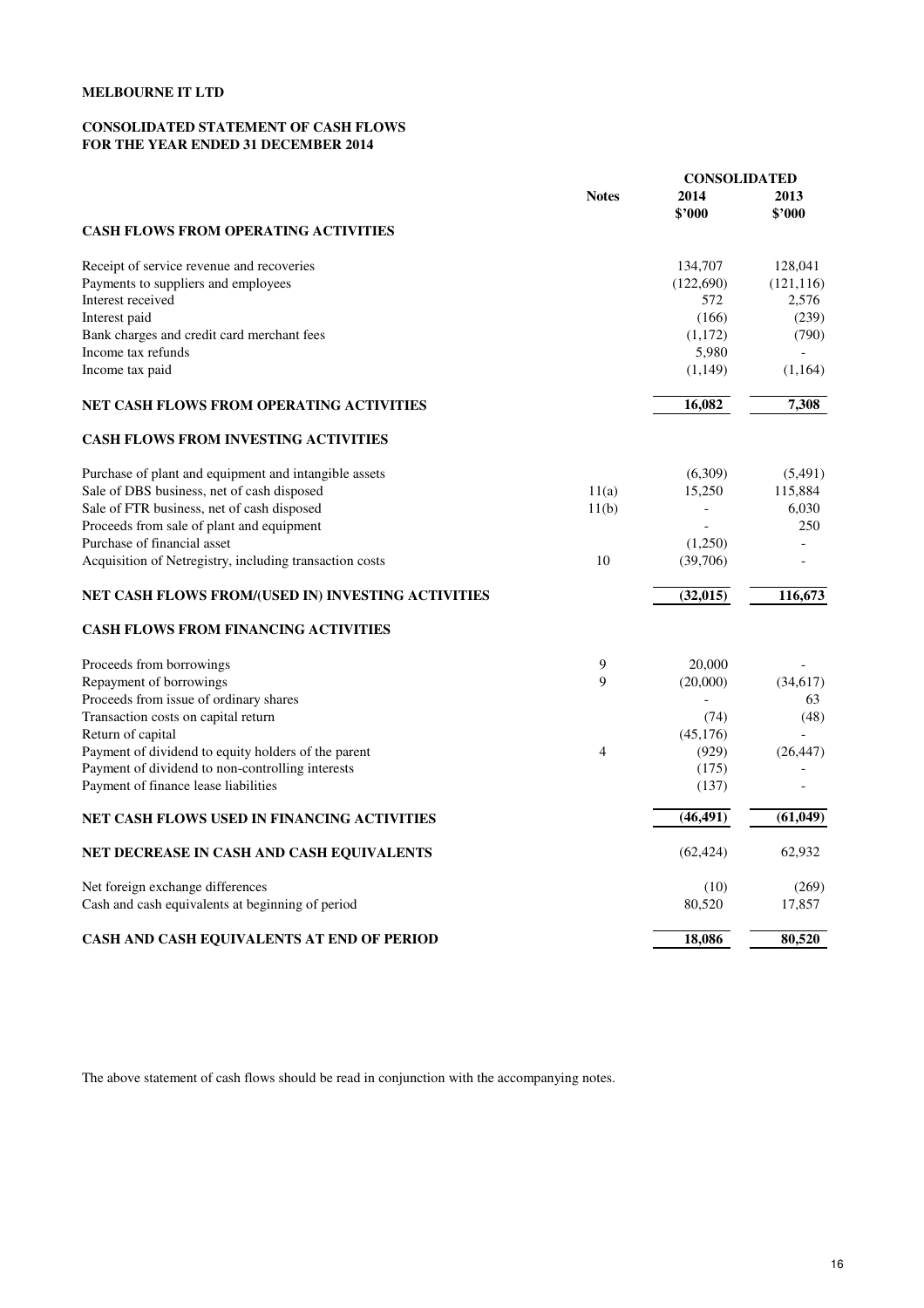# **CONSOLIDATED STATEMENT OF CASH FLOWS FOR THE YEAR ENDED 31 DECEMBER 2014**

|                                                         |              | <b>CONSOLIDATED</b> |                |  |
|---------------------------------------------------------|--------------|---------------------|----------------|--|
|                                                         | <b>Notes</b> | 2014<br>\$'000      | 2013<br>\$'000 |  |
| <b>CASH FLOWS FROM OPERATING ACTIVITIES</b>             |              |                     |                |  |
| Receipt of service revenue and recoveries               |              | 134,707             | 128,041        |  |
| Payments to suppliers and employees                     |              | (122,690)           | (121, 116)     |  |
| Interest received                                       |              | 572                 | 2,576          |  |
| Interest paid                                           |              | (166)               | (239)          |  |
| Bank charges and credit card merchant fees              |              | (1,172)             | (790)          |  |
| Income tax refunds                                      |              | 5,980               |                |  |
| Income tax paid                                         |              | (1, 149)            | (1,164)        |  |
| NET CASH FLOWS FROM OPERATING ACTIVITIES                |              | 16,082              | 7,308          |  |
| <b>CASH FLOWS FROM INVESTING ACTIVITIES</b>             |              |                     |                |  |
| Purchase of plant and equipment and intangible assets   |              | (6,309)             | (5,491)        |  |
| Sale of DBS business, net of cash disposed              | 11(a)        | 15,250              | 115,884        |  |
| Sale of FTR business, net of cash disposed              | 11(b)        |                     | 6,030          |  |
| Proceeds from sale of plant and equipment               |              |                     | 250            |  |
| Purchase of financial asset                             |              | (1,250)             |                |  |
| Acquisition of Netregistry, including transaction costs | 10           | (39,706)            |                |  |
| NET CASH FLOWS FROM/(USED IN) INVESTING ACTIVITIES      |              | (32, 015)           | 116,673        |  |
| <b>CASH FLOWS FROM FINANCING ACTIVITIES</b>             |              |                     |                |  |
| Proceeds from borrowings                                | 9            | 20,000              |                |  |
| Repayment of borrowings                                 | 9            | (20,000)            | (34,617)       |  |
| Proceeds from issue of ordinary shares                  |              |                     | 63             |  |
| Transaction costs on capital return                     |              | (74)                | (48)           |  |
| Return of capital                                       |              | (45, 176)           |                |  |
| Payment of dividend to equity holders of the parent     | 4            | (929)               | (26, 447)      |  |
| Payment of dividend to non-controlling interests        |              | (175)               |                |  |
| Payment of finance lease liabilities                    |              | (137)               |                |  |
| NET CASH FLOWS USED IN FINANCING ACTIVITIES             |              | (46, 491)           | (61, 049)      |  |
| NET DECREASE IN CASH AND CASH EQUIVALENTS               |              | (62, 424)           | 62,932         |  |
| Net foreign exchange differences                        |              | (10)                | (269)          |  |
| Cash and cash equivalents at beginning of period        |              | 80,520              | 17,857         |  |
| CASH AND CASH EQUIVALENTS AT END OF PERIOD              |              | 18,086              | 80,520         |  |

The above statement of cash flows should be read in conjunction with the accompanying notes.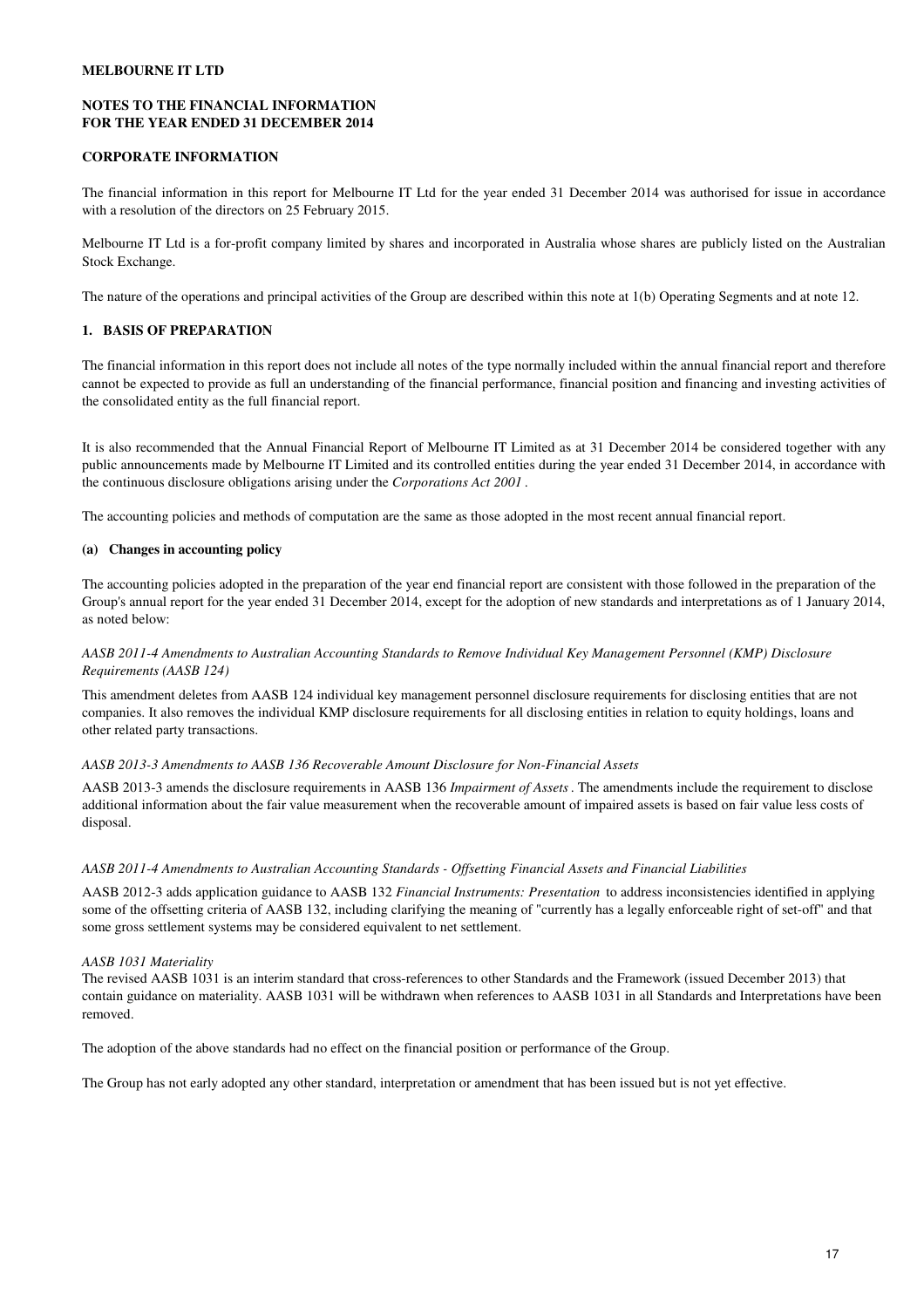# **NOTES TO THE FINANCIAL INFORMATION FOR THE YEAR ENDED 31 DECEMBER 2014**

# **CORPORATE INFORMATION**

The financial information in this report for Melbourne IT Ltd for the year ended 31 December 2014 was authorised for issue in accordance with a resolution of the directors on 25 February 2015.

Melbourne IT Ltd is a for-profit company limited by shares and incorporated in Australia whose shares are publicly listed on the Australian Stock Exchange.

The nature of the operations and principal activities of the Group are described within this note at 1(b) Operating Segments and at note 12.

# **1. BASIS OF PREPARATION**

The financial information in this report does not include all notes of the type normally included within the annual financial report and therefore cannot be expected to provide as full an understanding of the financial performance, financial position and financing and investing activities of the consolidated entity as the full financial report.

It is also recommended that the Annual Financial Report of Melbourne IT Limited as at 31 December 2014 be considered together with any public announcements made by Melbourne IT Limited and its controlled entities during the year ended 31 December 2014, in accordance with the continuous disclosure obligations arising under the *Corporations Act 2001* .

The accounting policies and methods of computation are the same as those adopted in the most recent annual financial report.

# **(a) Changes in accounting policy**

The accounting policies adopted in the preparation of the year end financial report are consistent with those followed in the preparation of the Group's annual report for the year ended 31 December 2014, except for the adoption of new standards and interpretations as of 1 January 2014, as noted below:

# *AASB 2011-4 Amendments to Australian Accounting Standards to Remove Individual Key Management Personnel (KMP) Disclosure Requirements (AASB 124)*

This amendment deletes from AASB 124 individual key management personnel disclosure requirements for disclosing entities that are not companies. It also removes the individual KMP disclosure requirements for all disclosing entities in relation to equity holdings, loans and other related party transactions.

# *AASB 2013-3 Amendments to AASB 136 Recoverable Amount Disclosure for Non-Financial Assets*

AASB 2013-3 amends the disclosure requirements in AASB 136 *Impairment of Assets*. The amendments include the requirement to disclose additional information about the fair value measurement when the recoverable amount of impaired assets is based on fair value less costs of disposal.

### *AASB 2011-4 Amendments to Australian Accounting Standards - Offsetting Financial Assets and Financial Liabilities*

AASB 2012-3 adds application guidance to AASB 132 *Financial Instruments: Presentation* to address inconsistencies identified in applying some of the offsetting criteria of AASB 132, including clarifying the meaning of "currently has a legally enforceable right of set-off" and that some gross settlement systems may be considered equivalent to net settlement.

#### *AASB 1031 Materiality*

The revised AASB 1031 is an interim standard that cross-references to other Standards and the Framework (issued December 2013) that contain guidance on materiality. AASB 1031 will be withdrawn when references to AASB 1031 in all Standards and Interpretations have been removed.

The adoption of the above standards had no effect on the financial position or performance of the Group.

The Group has not early adopted any other standard, interpretation or amendment that has been issued but is not yet effective.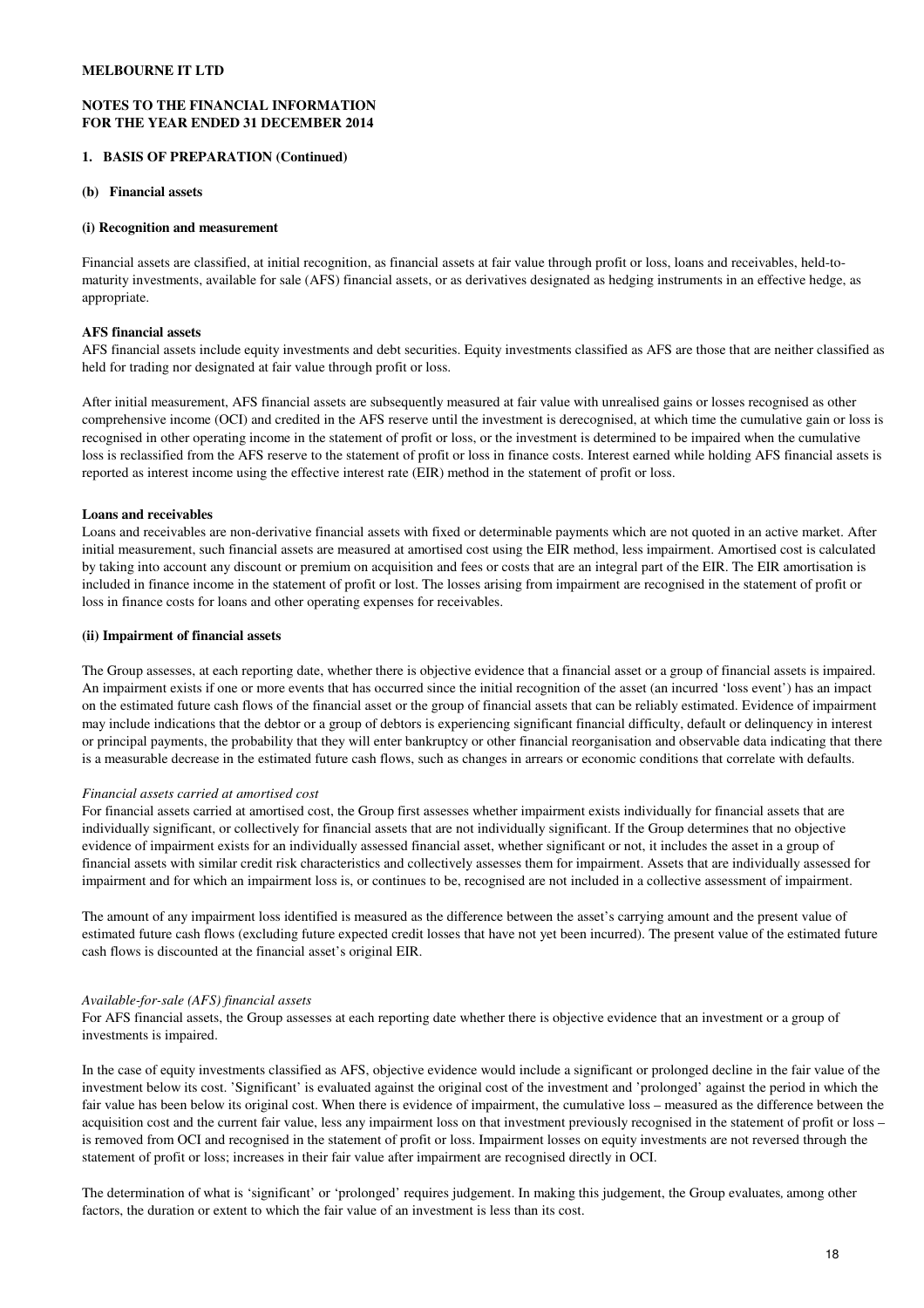# **NOTES TO THE FINANCIAL INFORMATION FOR THE YEAR ENDED 31 DECEMBER 2014**

# **1. BASIS OF PREPARATION (Continued)**

## **(b) Financial assets**

# **(i) Recognition and measurement**

Financial assets are classified, at initial recognition, as financial assets at fair value through profit or loss, loans and receivables, held-tomaturity investments, available for sale (AFS) financial assets, or as derivatives designated as hedging instruments in an effective hedge, as appropriate.

# **AFS financial assets**

AFS financial assets include equity investments and debt securities. Equity investments classified as AFS are those that are neither classified as held for trading nor designated at fair value through profit or loss.

After initial measurement, AFS financial assets are subsequently measured at fair value with unrealised gains or losses recognised as other comprehensive income (OCI) and credited in the AFS reserve until the investment is derecognised, at which time the cumulative gain or loss is recognised in other operating income in the statement of profit or loss, or the investment is determined to be impaired when the cumulative loss is reclassified from the AFS reserve to the statement of profit or loss in finance costs. Interest earned while holding AFS financial assets is reported as interest income using the effective interest rate (EIR) method in the statement of profit or loss.

# **Loans and receivables**

Loans and receivables are non-derivative financial assets with fixed or determinable payments which are not quoted in an active market. After initial measurement, such financial assets are measured at amortised cost using the EIR method, less impairment. Amortised cost is calculated by taking into account any discount or premium on acquisition and fees or costs that are an integral part of the EIR. The EIR amortisation is included in finance income in the statement of profit or lost. The losses arising from impairment are recognised in the statement of profit or loss in finance costs for loans and other operating expenses for receivables.

# **(ii) Impairment of financial assets**

The Group assesses, at each reporting date, whether there is objective evidence that a financial asset or a group of financial assets is impaired. An impairment exists if one or more events that has occurred since the initial recognition of the asset (an incurred 'loss event') has an impact on the estimated future cash flows of the financial asset or the group of financial assets that can be reliably estimated. Evidence of impairment may include indications that the debtor or a group of debtors is experiencing significant financial difficulty, default or delinquency in interest or principal payments, the probability that they will enter bankruptcy or other financial reorganisation and observable data indicating that there is a measurable decrease in the estimated future cash flows, such as changes in arrears or economic conditions that correlate with defaults.

# *Financial assets carried at amortised cost*

For financial assets carried at amortised cost, the Group first assesses whether impairment exists individually for financial assets that are individually significant, or collectively for financial assets that are not individually significant. If the Group determines that no objective evidence of impairment exists for an individually assessed financial asset, whether significant or not, it includes the asset in a group of financial assets with similar credit risk characteristics and collectively assesses them for impairment. Assets that are individually assessed for impairment and for which an impairment loss is, or continues to be, recognised are not included in a collective assessment of impairment.

The amount of any impairment loss identified is measured as the difference between the asset's carrying amount and the present value of estimated future cash flows (excluding future expected credit losses that have not yet been incurred). The present value of the estimated future cash flows is discounted at the financial asset's original EIR.

#### *Available-for-sale (AFS) financial assets*

For AFS financial assets, the Group assesses at each reporting date whether there is objective evidence that an investment or a group of investments is impaired.

In the case of equity investments classified as AFS, objective evidence would include a significant or prolonged decline in the fair value of the investment below its cost. 'Significant' is evaluated against the original cost of the investment and 'prolonged' against the period in which the fair value has been below its original cost. When there is evidence of impairment, the cumulative loss – measured as the difference between the acquisition cost and the current fair value, less any impairment loss on that investment previously recognised in the statement of profit or loss – is removed from OCI and recognised in the statement of profit or loss. Impairment losses on equity investments are not reversed through the statement of profit or loss; increases in their fair value after impairment are recognised directly in OCI.

The determination of what is 'significant' or 'prolonged' requires judgement. In making this judgement, the Group evaluates*,* among other factors, the duration or extent to which the fair value of an investment is less than its cost.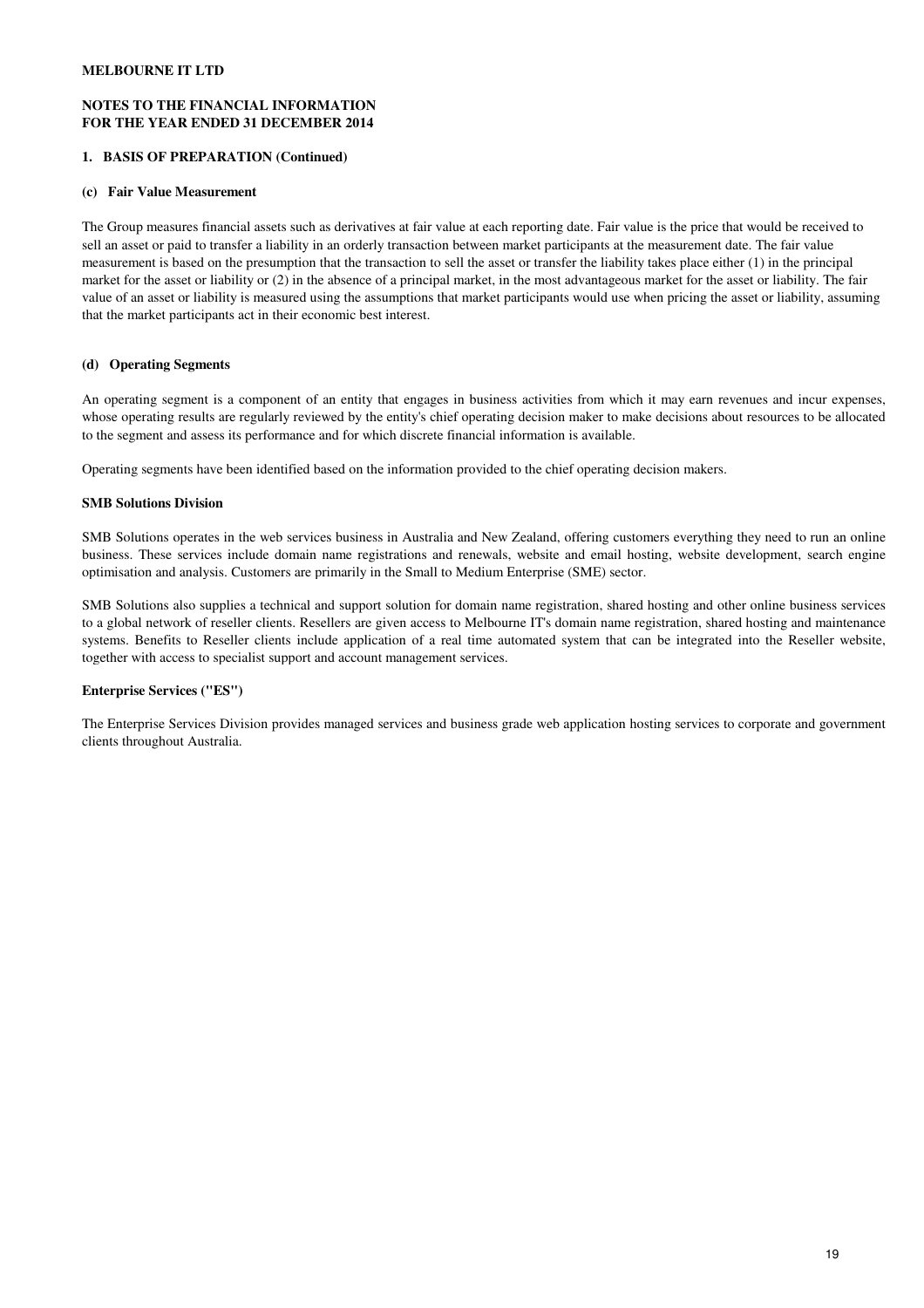# **NOTES TO THE FINANCIAL INFORMATION FOR THE YEAR ENDED 31 DECEMBER 2014**

# **1. BASIS OF PREPARATION (Continued)**

## **(c) Fair Value Measurement**

The Group measures financial assets such as derivatives at fair value at each reporting date. Fair value is the price that would be received to sell an asset or paid to transfer a liability in an orderly transaction between market participants at the measurement date. The fair value measurement is based on the presumption that the transaction to sell the asset or transfer the liability takes place either (1) in the principal market for the asset or liability or (2) in the absence of a principal market, in the most advantageous market for the asset or liability. The fair value of an asset or liability is measured using the assumptions that market participants would use when pricing the asset or liability, assuming that the market participants act in their economic best interest.

# **(d) Operating Segments**

An operating segment is a component of an entity that engages in business activities from which it may earn revenues and incur expenses, whose operating results are regularly reviewed by the entity's chief operating decision maker to make decisions about resources to be allocated to the segment and assess its performance and for which discrete financial information is available.

Operating segments have been identified based on the information provided to the chief operating decision makers.

# **SMB Solutions Division**

SMB Solutions operates in the web services business in Australia and New Zealand, offering customers everything they need to run an online business. These services include domain name registrations and renewals, website and email hosting, website development, search engine optimisation and analysis. Customers are primarily in the Small to Medium Enterprise (SME) sector.

SMB Solutions also supplies a technical and support solution for domain name registration, shared hosting and other online business services to a global network of reseller clients. Resellers are given access to Melbourne IT's domain name registration, shared hosting and maintenance systems. Benefits to Reseller clients include application of a real time automated system that can be integrated into the Reseller website, together with access to specialist support and account management services.

# **Enterprise Services ("ES")**

The Enterprise Services Division provides managed services and business grade web application hosting services to corporate and government clients throughout Australia.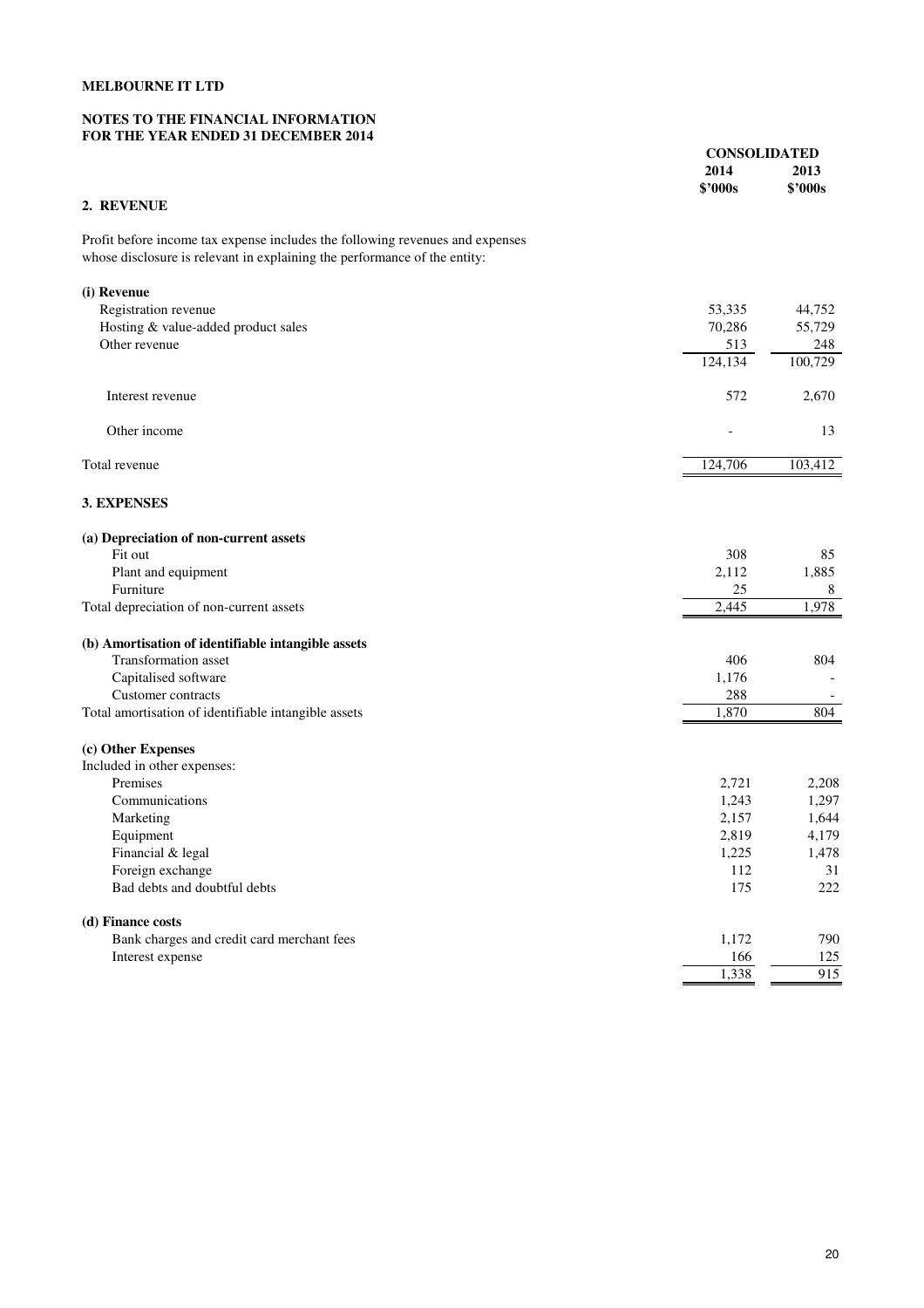# **NOTES TO THE FINANCIAL INFORMATION FOR THE YEAR ENDED 31 DECEMBER 2014**

|                                                                                                                                                            | <b>CONSOLIDATED</b> |                 |
|------------------------------------------------------------------------------------------------------------------------------------------------------------|---------------------|-----------------|
|                                                                                                                                                            | 2014<br>\$'000s     | 2013<br>\$'000s |
| 2. REVENUE                                                                                                                                                 |                     |                 |
|                                                                                                                                                            |                     |                 |
| Profit before income tax expense includes the following revenues and expenses<br>whose disclosure is relevant in explaining the performance of the entity: |                     |                 |
|                                                                                                                                                            |                     |                 |
| (i) Revenue                                                                                                                                                |                     |                 |
| Registration revenue                                                                                                                                       | 53,335              | 44,752          |
| Hosting & value-added product sales                                                                                                                        | 70,286              | 55,729          |
| Other revenue                                                                                                                                              | 513                 | 248             |
|                                                                                                                                                            | 124,134             | 100,729         |
| Interest revenue                                                                                                                                           | 572                 | 2,670           |
| Other income                                                                                                                                               |                     | 13              |
| Total revenue                                                                                                                                              | 124,706             | 103,412         |
| 3. EXPENSES                                                                                                                                                |                     |                 |
| (a) Depreciation of non-current assets                                                                                                                     |                     |                 |
| Fit out                                                                                                                                                    | 308                 | 85              |
| Plant and equipment                                                                                                                                        | 2,112               | 1,885           |
| Furniture                                                                                                                                                  | 25                  | 8               |
| Total depreciation of non-current assets                                                                                                                   | 2,445               | 1,978           |
| (b) Amortisation of identifiable intangible assets                                                                                                         |                     |                 |
| Transformation asset                                                                                                                                       | 406                 | 804             |
| Capitalised software                                                                                                                                       | 1,176               |                 |
| Customer contracts                                                                                                                                         | 288                 |                 |
| Total amortisation of identifiable intangible assets                                                                                                       | 1,870               | 804             |
| (c) Other Expenses                                                                                                                                         |                     |                 |
| Included in other expenses:                                                                                                                                |                     |                 |
| Premises                                                                                                                                                   | 2,721               | 2,208           |
| Communications                                                                                                                                             | 1,243               | 1,297           |
| Marketing                                                                                                                                                  | 2,157               | 1,644           |
| Equipment                                                                                                                                                  | 2,819               | 4,179           |
| Financial & legal                                                                                                                                          | 1,225               | 1,478           |
| Foreign exchange                                                                                                                                           | 112                 | 31              |
| Bad debts and doubtful debts                                                                                                                               | 175                 | 222             |
| (d) Finance costs                                                                                                                                          |                     |                 |
| Bank charges and credit card merchant fees                                                                                                                 | 1,172               | 790             |
| Interest expense                                                                                                                                           | 166                 | 125             |
|                                                                                                                                                            | 1,338               | 915             |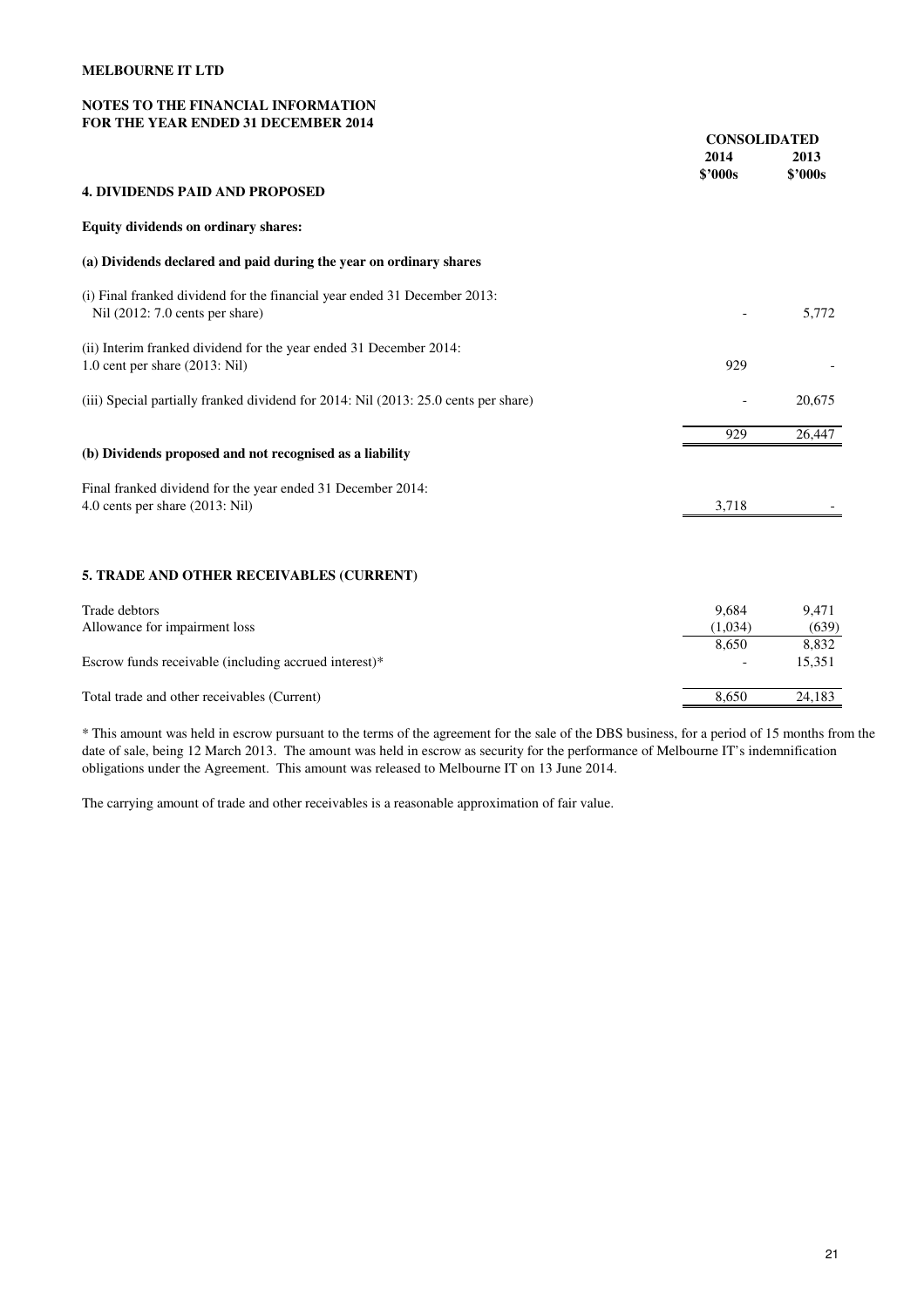# **NOTES TO THE FINANCIAL INFORMATION FOR THE YEAR ENDED 31 DECEMBER 2014**

|                                                                                                              | <b>CONSOLIDATED</b> |                 |
|--------------------------------------------------------------------------------------------------------------|---------------------|-----------------|
|                                                                                                              | 2014                | 2013            |
| <b>4. DIVIDENDS PAID AND PROPOSED</b>                                                                        | \$'000s             | \$'000s         |
| Equity dividends on ordinary shares:                                                                         |                     |                 |
| (a) Dividends declared and paid during the year on ordinary shares                                           |                     |                 |
| (i) Final franked dividend for the financial year ended 31 December 2013:<br>Nil (2012: 7.0 cents per share) |                     | 5,772           |
| (ii) Interim franked dividend for the year ended 31 December 2014:<br>1.0 cent per share (2013: Nil)         | 929                 |                 |
| (iii) Special partially franked dividend for 2014: Nil (2013: 25.0 cents per share)                          |                     | 20,675          |
|                                                                                                              | 929                 | 26,447          |
| (b) Dividends proposed and not recognised as a liability                                                     |                     |                 |
| Final franked dividend for the year ended 31 December 2014:                                                  |                     |                 |
| 4.0 cents per share (2013: Nil)                                                                              | 3,718               |                 |
| 5. TRADE AND OTHER RECEIVABLES (CURRENT)                                                                     |                     |                 |
| Trade debtors                                                                                                | 9,684               | 9,471           |
| Allowance for impairment loss                                                                                | (1,034)             | (639)           |
| Escrow funds receivable (including accrued interest)*                                                        | 8,650               | 8,832<br>15,351 |

Total trade and other receivables (Current) 8,650 24,183

\* This amount was held in escrow pursuant to the terms of the agreement for the sale of the DBS business, for a period of 15 months from the date of sale, being 12 March 2013. The amount was held in escrow as security for the performance of Melbourne IT's indemnification obligations under the Agreement. This amount was released to Melbourne IT on 13 June 2014.

The carrying amount of trade and other receivables is a reasonable approximation of fair value.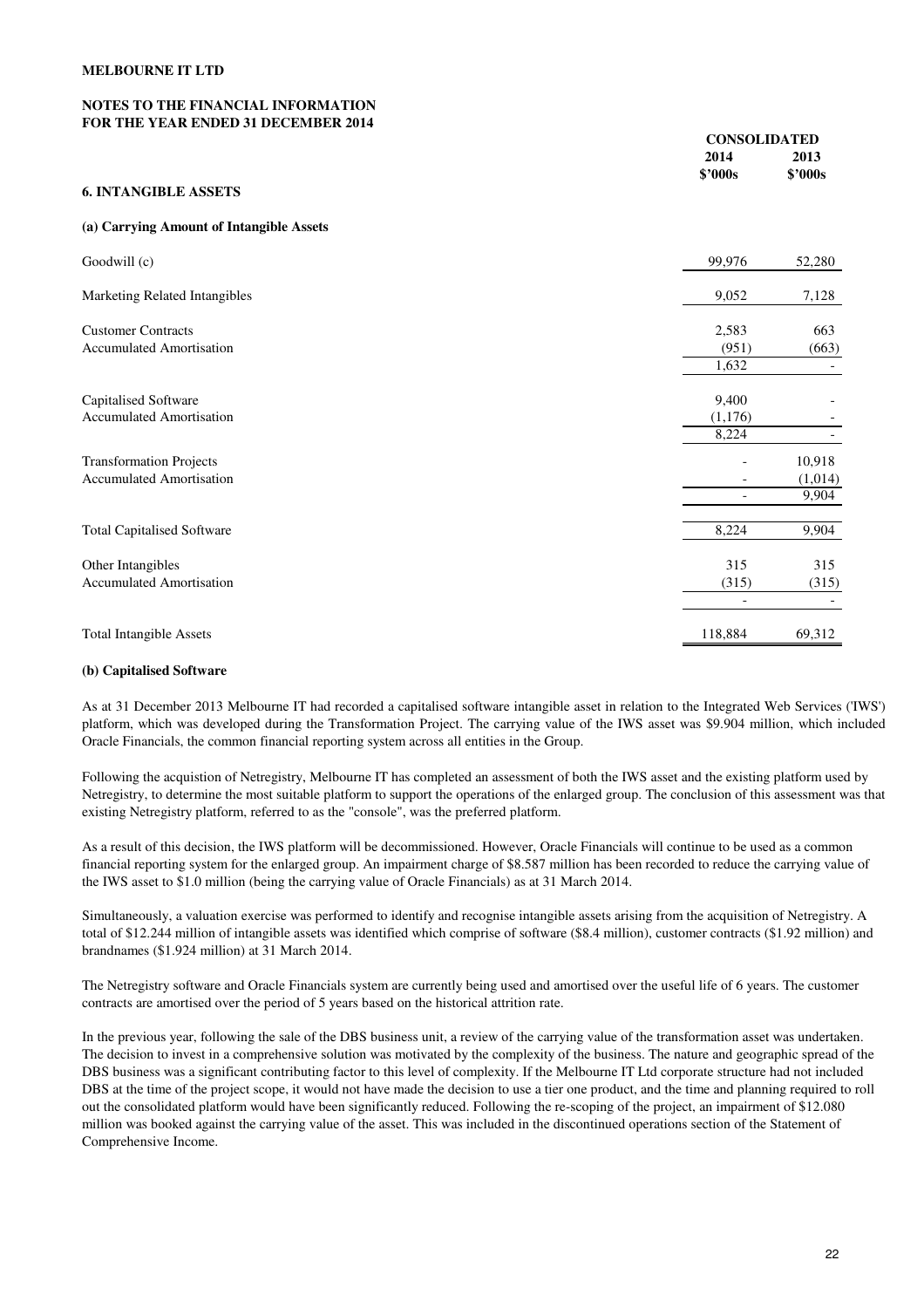# **NOTES TO THE FINANCIAL INFORMATION FOR THE YEAR ENDED 31 DECEMBER 2014**

| FUN THE TEAN ENDED 31 DECEMBEN 2014                               |                                          | <b>CONSOLIDATED</b>        |  |  |
|-------------------------------------------------------------------|------------------------------------------|----------------------------|--|--|
|                                                                   | 2014<br>\$'000s                          | 2013<br><b>\$'000s</b>     |  |  |
| <b>6. INTANGIBLE ASSETS</b>                                       |                                          |                            |  |  |
| (a) Carrying Amount of Intangible Assets                          |                                          |                            |  |  |
| Goodwill (c)                                                      | 99,976                                   | 52,280                     |  |  |
| Marketing Related Intangibles                                     | 9,052                                    | 7,128                      |  |  |
| <b>Customer Contracts</b><br><b>Accumulated Amortisation</b>      | 2,583<br>(951)<br>1,632                  | 663<br>(663)               |  |  |
| Capitalised Software<br><b>Accumulated Amortisation</b>           | 9,400<br>(1,176)<br>8,224                |                            |  |  |
| <b>Transformation Projects</b><br><b>Accumulated Amortisation</b> |                                          | 10,918<br>(1,014)<br>9,904 |  |  |
| <b>Total Capitalised Software</b>                                 | 8,224                                    | 9,904                      |  |  |
| Other Intangibles<br><b>Accumulated Amortisation</b>              | 315<br>(315)<br>$\overline{\phantom{a}}$ | 315<br>(315)               |  |  |
| <b>Total Intangible Assets</b>                                    | 118,884                                  | 69,312                     |  |  |

# **(b) Capitalised Software**

As at 31 December 2013 Melbourne IT had recorded a capitalised software intangible asset in relation to the Integrated Web Services ('IWS') platform, which was developed during the Transformation Project. The carrying value of the IWS asset was \$9.904 million, which included Oracle Financials, the common financial reporting system across all entities in the Group.

Following the acquistion of Netregistry, Melbourne IT has completed an assessment of both the IWS asset and the existing platform used by Netregistry, to determine the most suitable platform to support the operations of the enlarged group. The conclusion of this assessment was that existing Netregistry platform, referred to as the "console", was the preferred platform.

As a result of this decision, the IWS platform will be decommissioned. However, Oracle Financials will continue to be used as a common financial reporting system for the enlarged group. An impairment charge of \$8.587 million has been recorded to reduce the carrying value of the IWS asset to \$1.0 million (being the carrying value of Oracle Financials) as at 31 March 2014.

Simultaneously, a valuation exercise was performed to identify and recognise intangible assets arising from the acquisition of Netregistry. A total of \$12.244 million of intangible assets was identified which comprise of software (\$8.4 million), customer contracts (\$1.92 million) and brandnames (\$1.924 million) at 31 March 2014.

The Netregistry software and Oracle Financials system are currently being used and amortised over the useful life of 6 years. The customer contracts are amortised over the period of 5 years based on the historical attrition rate.

In the previous year, following the sale of the DBS business unit, a review of the carrying value of the transformation asset was undertaken. The decision to invest in a comprehensive solution was motivated by the complexity of the business. The nature and geographic spread of the DBS business was a significant contributing factor to this level of complexity. If the Melbourne IT Ltd corporate structure had not included DBS at the time of the project scope, it would not have made the decision to use a tier one product, and the time and planning required to roll out the consolidated platform would have been significantly reduced. Following the re-scoping of the project, an impairment of \$12.080 million was booked against the carrying value of the asset. This was included in the discontinued operations section of the Statement of Comprehensive Income.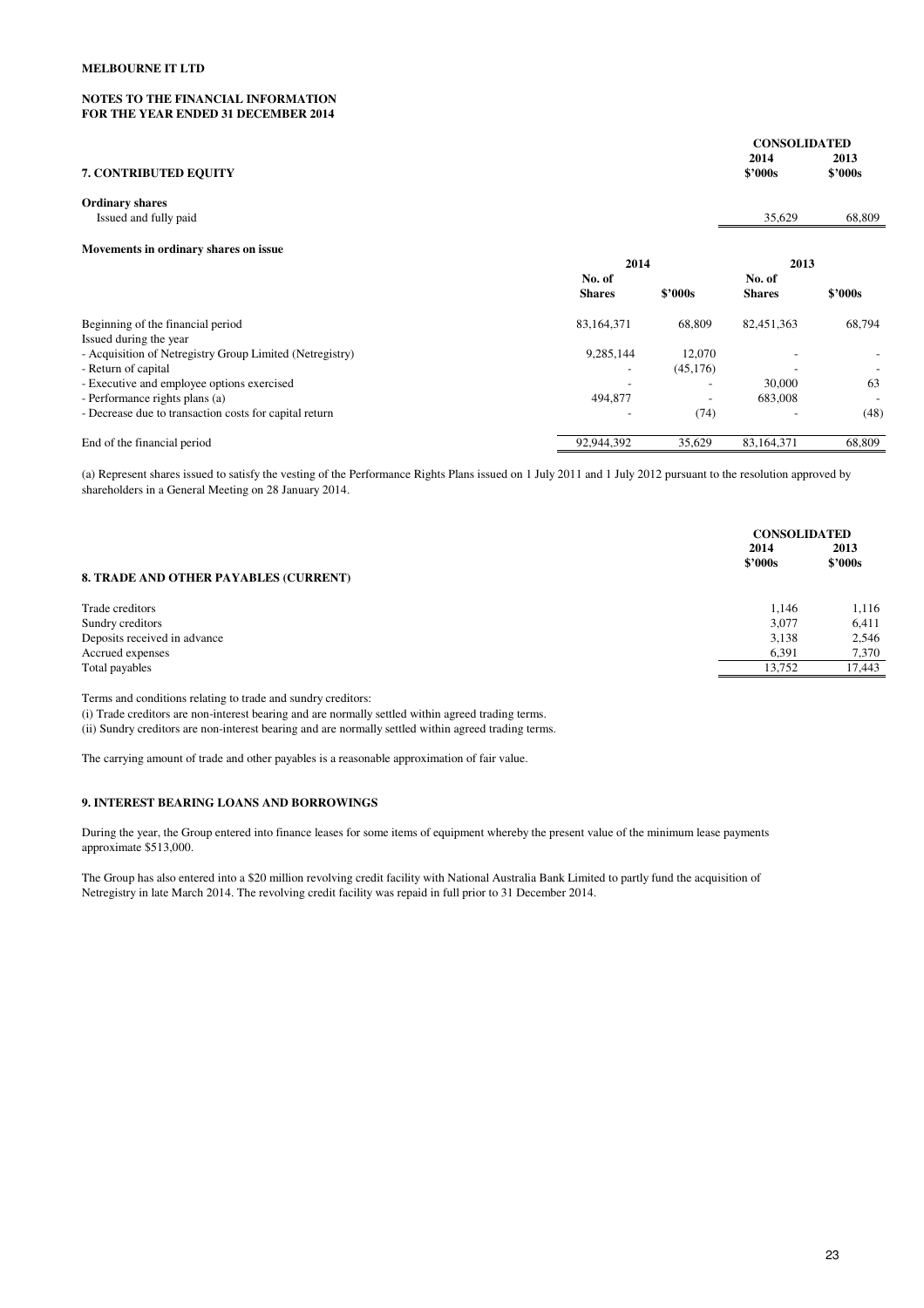# **NOTES TO THE FINANCIAL INFORMATION FOR THE YEAR ENDED 31 DECEMBER 2014**

|                                                          |                |           | <b>CONSOLIDATED</b><br>2014 | 2013                     |
|----------------------------------------------------------|----------------|-----------|-----------------------------|--------------------------|
| <b>7. CONTRIBUTED EQUITY</b>                             |                |           | \$2000s                     | \$2000s                  |
| <b>Ordinary shares</b>                                   |                |           |                             |                          |
| Issued and fully paid                                    |                |           | 35,629                      | 68,809                   |
| Movements in ordinary shares on issue                    |                |           |                             |                          |
|                                                          | 2014           |           | 2013                        |                          |
|                                                          | No. of         |           | No. of                      |                          |
|                                                          | <b>Shares</b>  | \$2000s   | <b>Shares</b>               | \$2000s                  |
| Beginning of the financial period                        | 83,164,371     | 68,809    | 82,451,363                  | 68,794                   |
| Issued during the year                                   |                |           |                             |                          |
| - Acquisition of Netregistry Group Limited (Netregistry) | 9,285,144      | 12,070    |                             |                          |
| - Return of capital                                      | $\overline{a}$ | (45, 176) |                             |                          |
| - Executive and employee options exercised               |                |           | 30,000                      | 63                       |
| - Performance rights plans (a)                           | 494,877        |           | 683,008                     | $\overline{\phantom{a}}$ |
| - Decrease due to transaction costs for capital return   |                | (74)      |                             | (48)                     |
| End of the financial period                              | 92,944,392     | 35,629    | 83,164,371                  | 68,809                   |

(a) Represent shares issued to satisfy the vesting of the Performance Rights Plans issued on 1 July 2011 and 1 July 2012 pursuant to the resolution approved by shareholders in a General Meeting on 28 January 2014.

|                                       | 2014    | <b>CONSOLIDATED</b><br>2013 |  |
|---------------------------------------|---------|-----------------------------|--|
|                                       | \$2000s | \$2000s                     |  |
| 8. TRADE AND OTHER PAYABLES (CURRENT) |         |                             |  |
| Trade creditors                       | 1.146   | 1,116                       |  |
| Sundry creditors                      | 3,077   | 6,411                       |  |
| Deposits received in advance          | 3,138   | 2,546                       |  |
| Accrued expenses                      | 6,391   | 7,370                       |  |
| Total payables                        | 13.752  | 17.443                      |  |
|                                       |         |                             |  |

Terms and conditions relating to trade and sundry creditors:

(i) Trade creditors are non-interest bearing and are normally settled within agreed trading terms.

(ii) Sundry creditors are non-interest bearing and are normally settled within agreed trading terms.

The carrying amount of trade and other payables is a reasonable approximation of fair value.

#### **9. INTEREST BEARING LOANS AND BORROWINGS**

During the year, the Group entered into finance leases for some items of equipment whereby the present value of the minimum lease payments approximate \$513,000.

The Group has also entered into a \$20 million revolving credit facility with National Australia Bank Limited to partly fund the acquisition of Netregistry in late March 2014. The revolving credit facility was repaid in full prior to 31 December 2014.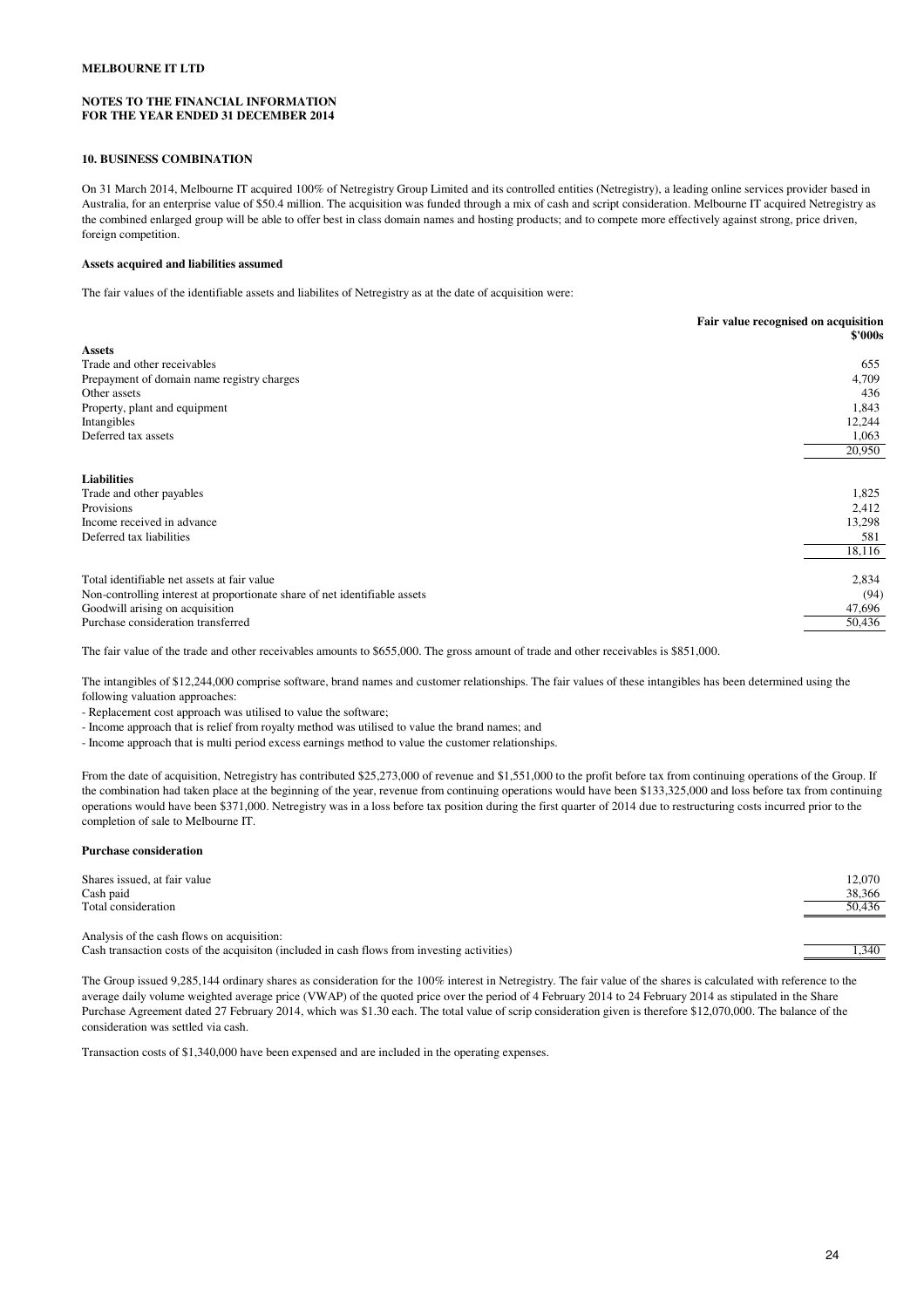#### **NOTES TO THE FINANCIAL INFORMATION FOR THE YEAR ENDED 31 DECEMBER 2014**

#### **10. BUSINESS COMBINATION**

On 31 March 2014, Melbourne IT acquired 100% of Netregistry Group Limited and its controlled entities (Netregistry), a leading online services provider based in Australia, for an enterprise value of \$50.4 million. The acquisition was funded through a mix of cash and script consideration. Melbourne IT acquired Netregistry as the combined enlarged group will be able to offer best in class domain names and hosting products; and to compete more effectively against strong, price driven, foreign competition.

# **Assets acquired and liabilities assumed**

The fair values of the identifiable assets and liabilites of Netregistry as at the date of acquisition were:

| Fair value recognised on acquisition<br>\$'000s |
|-------------------------------------------------|
|                                                 |
| 655                                             |
| 4,709                                           |
| 436                                             |
| 1,843                                           |
| 12,244                                          |
| 1,063                                           |
| 20,950                                          |
|                                                 |
| 1,825                                           |
| 2,412                                           |
| 13,298                                          |
| 581                                             |
| 18,116                                          |
| 2,834                                           |
| (94)                                            |
| 47,696                                          |
| 50,436                                          |
|                                                 |

The fair value of the trade and other receivables amounts to \$655,000. The gross amount of trade and other receivables is \$851,000.

The intangibles of \$12,244,000 comprise software, brand names and customer relationships. The fair values of these intangibles has been determined using the following valuation approaches:

- Replacement cost approach was utilised to value the software;

- Income approach that is relief from royalty method was utilised to value the brand names; and

- Income approach that is multi period excess earnings method to value the customer relationships.

From the date of acquisition, Netregistry has contributed \$25,273,000 of revenue and \$1,551,000 to the profit before tax from continuing operations of the Group. If the combination had taken place at the beginning of the year, revenue from continuing operations would have been \$133,325,000 and loss before tax from continuing operations would have been \$371,000. Netregistry was in a loss before tax position during the first quarter of 2014 due to restructuring costs incurred prior to the completion of sale to Melbourne IT.

#### **Purchase consideration**

| Shares issued, at fair value                                                                                                               | 12.070 |
|--------------------------------------------------------------------------------------------------------------------------------------------|--------|
| Cash paid                                                                                                                                  | 38,366 |
| Total consideration                                                                                                                        | 50,436 |
| Analysis of the cash flows on acquisition:<br>Cash transaction costs of the acquisition (included in cash flows from investing activities) | .340   |

The Group issued 9,285,144 ordinary shares as consideration for the 100% interest in Netregistry. The fair value of the shares is calculated with reference to the average daily volume weighted average price (VWAP) of the quoted price over the period of 4 February 2014 to 24 February 2014 as stipulated in the Share Purchase Agreement dated 27 February 2014, which was \$1.30 each. The total value of scrip consideration given is therefore \$12,070,000. The balance of the consideration was settled via cash.

Transaction costs of \$1,340,000 have been expensed and are included in the operating expenses.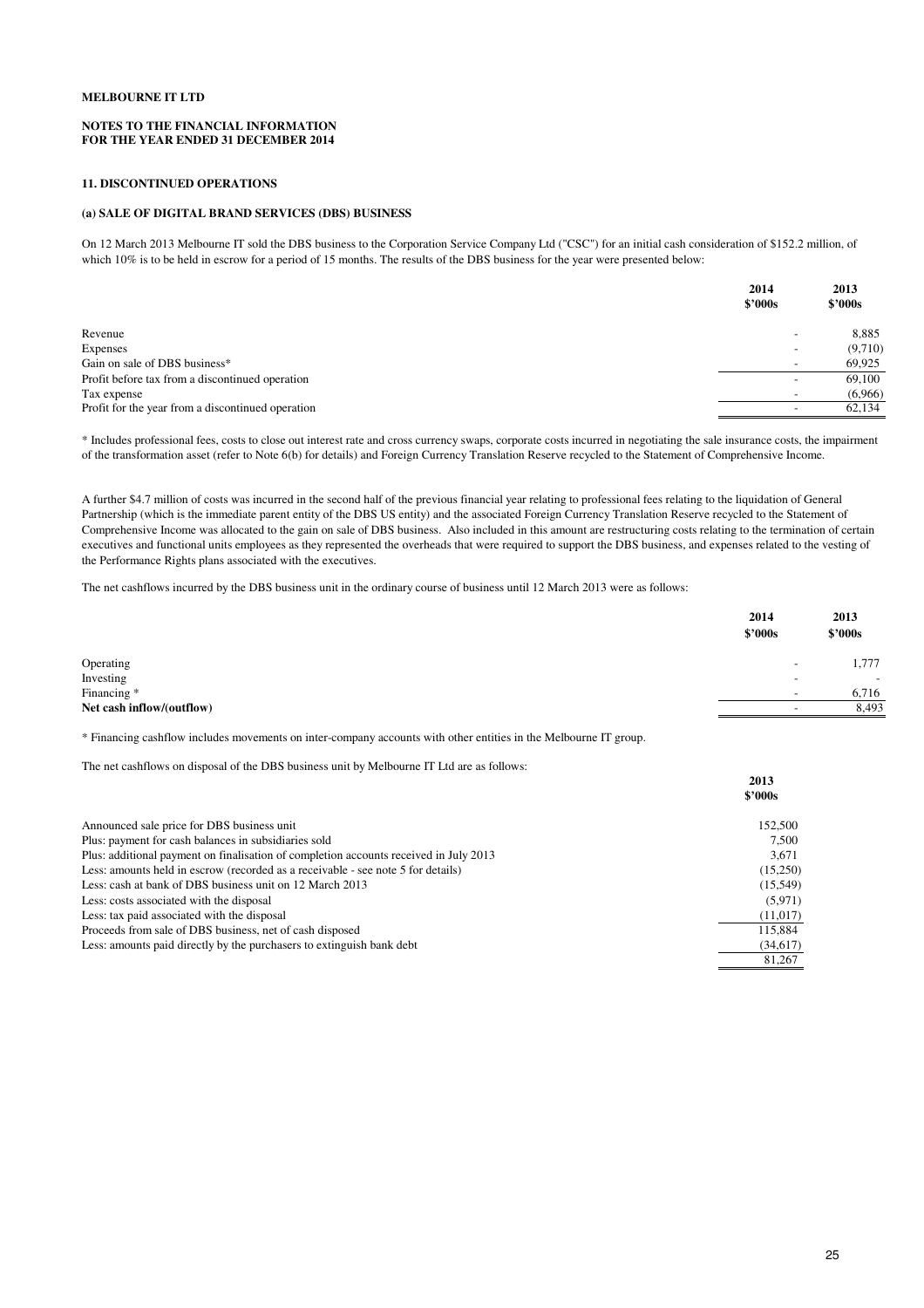#### **NOTES TO THE FINANCIAL INFORMATION FOR THE YEAR ENDED 31 DECEMBER 2014**

#### **11. DISCONTINUED OPERATIONS**

# **(a) SALE OF DIGITAL BRAND SERVICES (DBS) BUSINESS**

On 12 March 2013 Melbourne IT sold the DBS business to the Corporation Service Company Ltd ("CSC") for an initial cash consideration of \$152.2 million, of which 10% is to be held in escrow for a period of 15 months. The results of the DBS business for the year were presented below:

|                                                   | 2014<br>\$2000s          | 2013<br>\$2000s |
|---------------------------------------------------|--------------------------|-----------------|
| Revenue                                           | $\overline{\phantom{0}}$ | 8,885           |
| Expenses                                          | $\overline{\phantom{a}}$ | (9,710)         |
| Gain on sale of DBS business*                     | $\overline{\phantom{0}}$ | 69,925          |
| Profit before tax from a discontinued operation   | $\overline{\phantom{0}}$ | 69,100          |
| Tax expense                                       | $\overline{\phantom{0}}$ | (6,966)         |
| Profit for the year from a discontinued operation | $\overline{\phantom{0}}$ | 62,134          |

\* Includes professional fees, costs to close out interest rate and cross currency swaps, corporate costs incurred in negotiating the sale insurance costs, the impairment of the transformation asset (refer to Note 6(b) for details) and Foreign Currency Translation Reserve recycled to the Statement of Comprehensive Income.

A further \$4.7 million of costs was incurred in the second half of the previous financial year relating to professional fees relating to the liquidation of General Partnership (which is the immediate parent entity of the DBS US entity) and the associated Foreign Currency Translation Reserve recycled to the Statement of Comprehensive Income was allocated to the gain on sale of DBS business. Also included in this amount are restructuring costs relating to the termination of certain executives and functional units employees as they represented the overheads that were required to support the DBS business, and expenses related to the vesting of the Performance Rights plans associated with the executives.

The net cashflows incurred by the DBS business unit in the ordinary course of business until 12 March 2013 were as follows:

|                           | 2014<br>\$'000s          | 2013<br>\$2000s          |
|---------------------------|--------------------------|--------------------------|
| Operating                 | $\overline{\phantom{0}}$ | 1,777                    |
| Investing                 | -                        | $\overline{\phantom{0}}$ |
| Financing *               | $\overline{\phantom{a}}$ | 6,716                    |
| Net cash inflow/(outflow) | $\overline{\phantom{0}}$ | 8,493                    |

\* Financing cashflow includes movements on inter-company accounts with other entities in the Melbourne IT group.

The net cashflows on disposal of the DBS business unit by Melbourne IT Ltd are as follows:

|                                                                                       | 2013<br>\$2000s |
|---------------------------------------------------------------------------------------|-----------------|
| Announced sale price for DBS business unit                                            | 152,500         |
| Plus: payment for cash balances in subsidiaries sold                                  | 7.500           |
| Plus: additional payment on finalisation of completion accounts received in July 2013 | 3.671           |
| Less: amounts held in escrow (recorded as a receivable - see note 5 for details)      | (15,250)        |
| Less: cash at bank of DBS business unit on 12 March 2013                              | (15, 549)       |
| Less: costs associated with the disposal                                              | (5,971)         |
| Less: tax paid associated with the disposal                                           | (11, 017)       |
| Proceeds from sale of DBS business, net of cash disposed                              | 115,884         |
| Less: amounts paid directly by the purchasers to extinguish bank debt                 | (34,617)        |
|                                                                                       | 81.267          |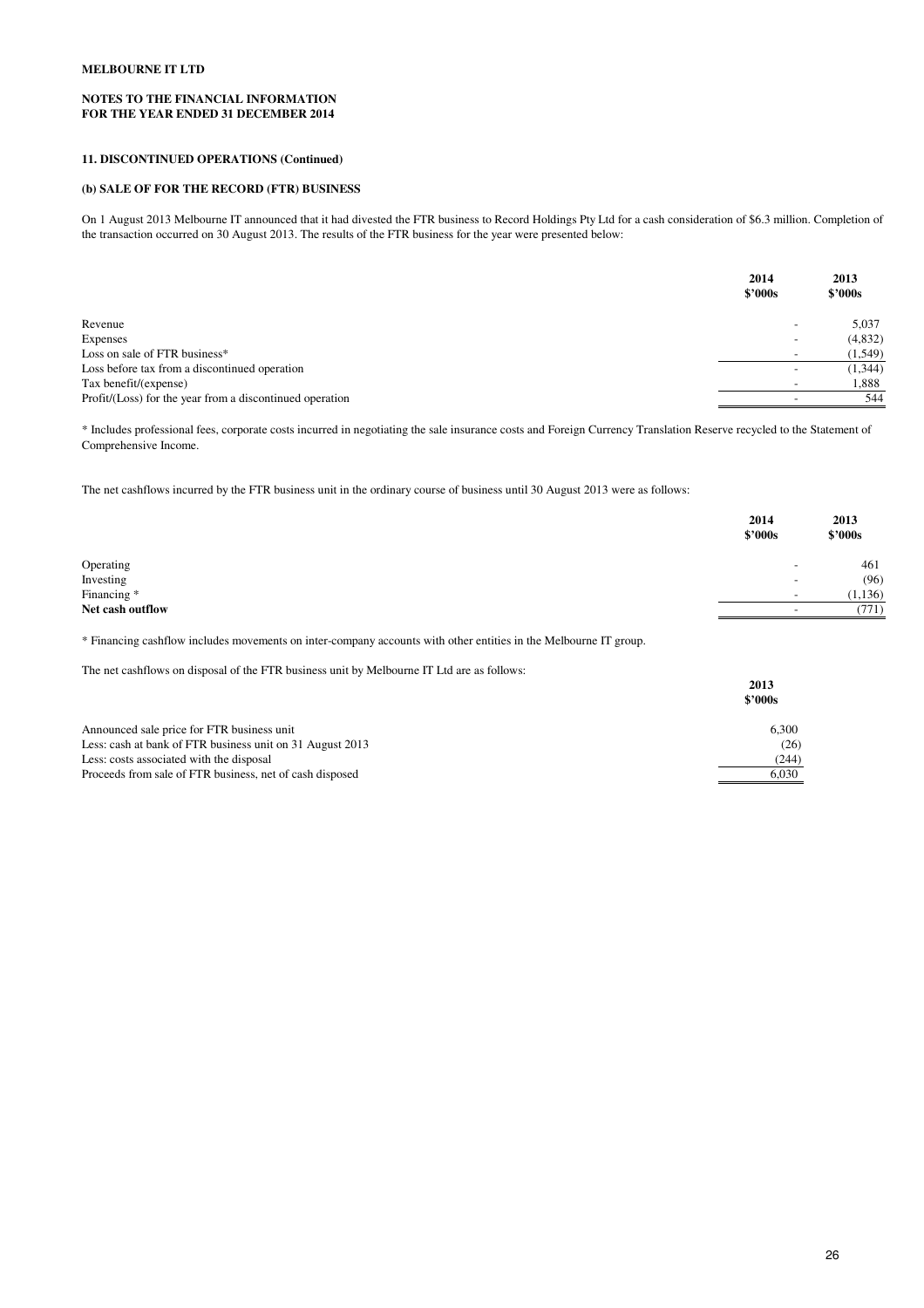# **NOTES TO THE FINANCIAL INFORMATION FOR THE YEAR ENDED 31 DECEMBER 2014**

# **11. DISCONTINUED OPERATIONS (Continued)**

# **(b) SALE OF FOR THE RECORD (FTR) BUSINESS**

On 1 August 2013 Melbourne IT announced that it had divested the FTR business to Record Holdings Pty Ltd for a cash consideration of \$6.3 million. Completion of the transaction occurred on 30 August 2013. The results of the FTR business for the year were presented below:

|                                                          | 2014<br>\$2000s          | 2013<br>$$^{\prime}000s$ |
|----------------------------------------------------------|--------------------------|--------------------------|
| Revenue                                                  | $\overline{\phantom{a}}$ | 5,037                    |
| Expenses                                                 | $\overline{\phantom{0}}$ | (4,832)                  |
| Loss on sale of FTR business*                            | $\overline{\phantom{a}}$ | (1, 549)                 |
| Loss before tax from a discontinued operation            | $\overline{\phantom{0}}$ | (1, 344)                 |
| Tax benefit/(expense)                                    | $\overline{\phantom{a}}$ | 1,888                    |
| Profit/(Loss) for the year from a discontinued operation |                          | 544                      |

\* Includes professional fees, corporate costs incurred in negotiating the sale insurance costs and Foreign Currency Translation Reserve recycled to the Statement of Comprehensive Income.

The net cashflows incurred by the FTR business unit in the ordinary course of business until 30 August 2013 were as follows:

|                  | 2014<br>\$'000s          | 2013<br>\$2000s |
|------------------|--------------------------|-----------------|
| Operating        | $\overline{\phantom{0}}$ | 461             |
| Investing        | $\overline{\phantom{0}}$ | (96)            |
| Financing *      | $\overline{\phantom{0}}$ | (1, 136)        |
| Net cash outflow | $\overline{\phantom{a}}$ | (771)           |
|                  |                          |                 |

\* Financing cashflow includes movements on inter-company accounts with other entities in the Melbourne IT group.

The net cashflows on disposal of the FTR business unit by Melbourne IT Ltd are as follows:

|                                                           | 2013<br>\$2000s |
|-----------------------------------------------------------|-----------------|
|                                                           |                 |
| Announced sale price for FTR business unit                | 6.300           |
| Less: cash at bank of FTR business unit on 31 August 2013 | (26)            |
| Less: costs associated with the disposal                  | (244)           |
| Proceeds from sale of FTR business, net of cash disposed  | 6.030           |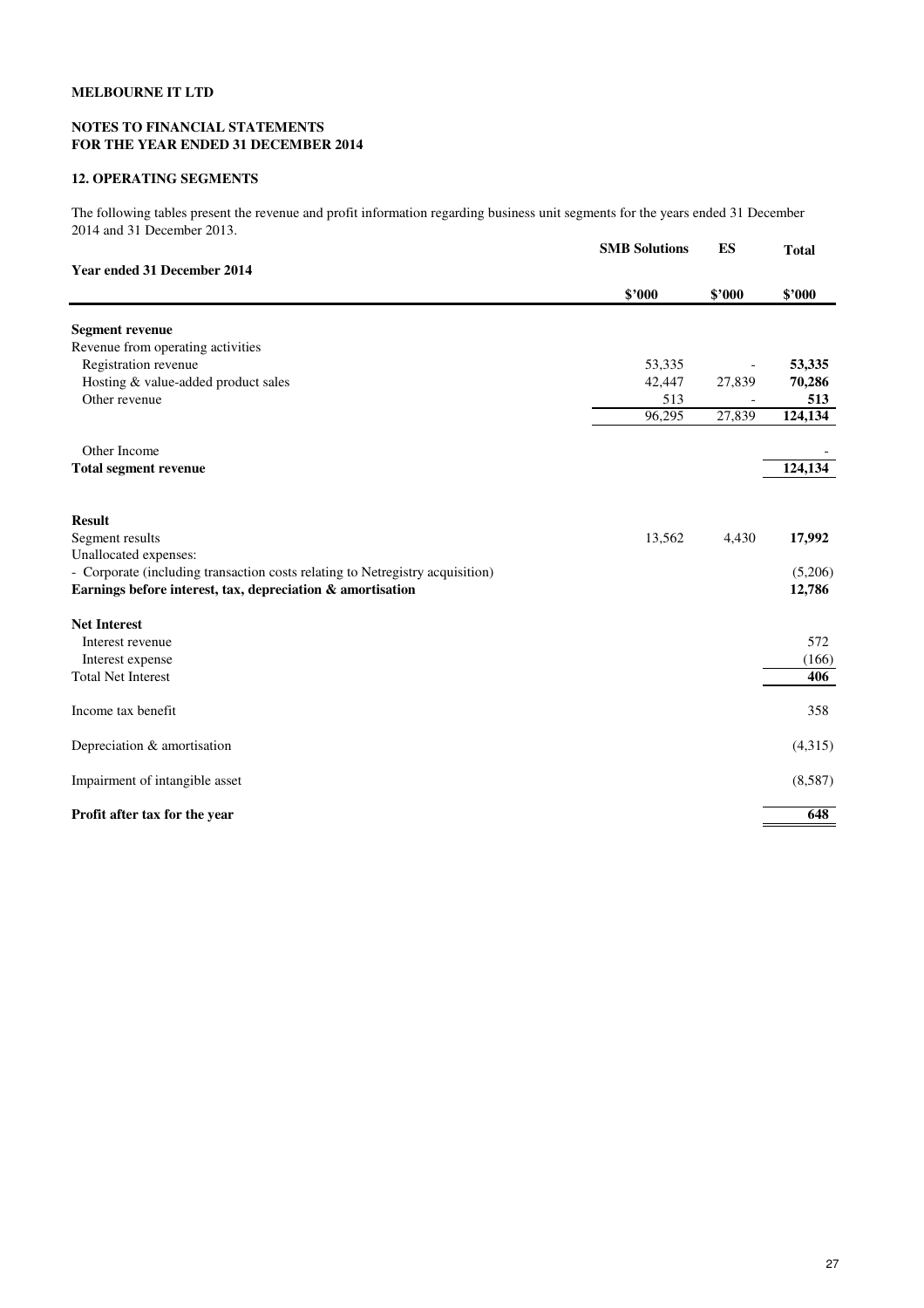# **NOTES TO FINANCIAL STATEMENTS FOR THE YEAR ENDED 31 DECEMBER 2014**

# **12. OPERATING SEGMENTS**

The following tables present the revenue and profit information regarding business unit segments for the years ended 31 December 2014 and 31 December 2013.

|                                                                               | <b>SMB Solutions</b> | ES     | <b>Total</b> |
|-------------------------------------------------------------------------------|----------------------|--------|--------------|
| Year ended 31 December 2014                                                   |                      |        |              |
|                                                                               | \$'000               | \$'000 | \$'000       |
| <b>Segment revenue</b>                                                        |                      |        |              |
| Revenue from operating activities                                             |                      |        |              |
| Registration revenue                                                          | 53,335               |        | 53,335       |
| Hosting & value-added product sales                                           | 42,447               | 27,839 | 70,286       |
| Other revenue                                                                 | 513                  |        | 513          |
|                                                                               | 96,295               | 27,839 | 124,134      |
| Other Income                                                                  |                      |        |              |
| <b>Total segment revenue</b>                                                  |                      |        | 124,134      |
|                                                                               |                      |        |              |
| <b>Result</b>                                                                 |                      |        |              |
| Segment results                                                               | 13,562               | 4,430  | 17,992       |
| Unallocated expenses:                                                         |                      |        |              |
| - Corporate (including transaction costs relating to Netregistry acquisition) |                      |        | (5,206)      |
| Earnings before interest, tax, depreciation & amortisation                    |                      |        | 12,786       |
| <b>Net Interest</b>                                                           |                      |        |              |
| Interest revenue                                                              |                      |        | 572          |
| Interest expense                                                              |                      |        | (166)        |
| <b>Total Net Interest</b>                                                     |                      |        | 406          |
| Income tax benefit                                                            |                      |        | 358          |
| Depreciation & amortisation                                                   |                      |        | (4,315)      |
| Impairment of intangible asset                                                |                      |        | (8,587)      |
| Profit after tax for the year                                                 |                      |        | 648          |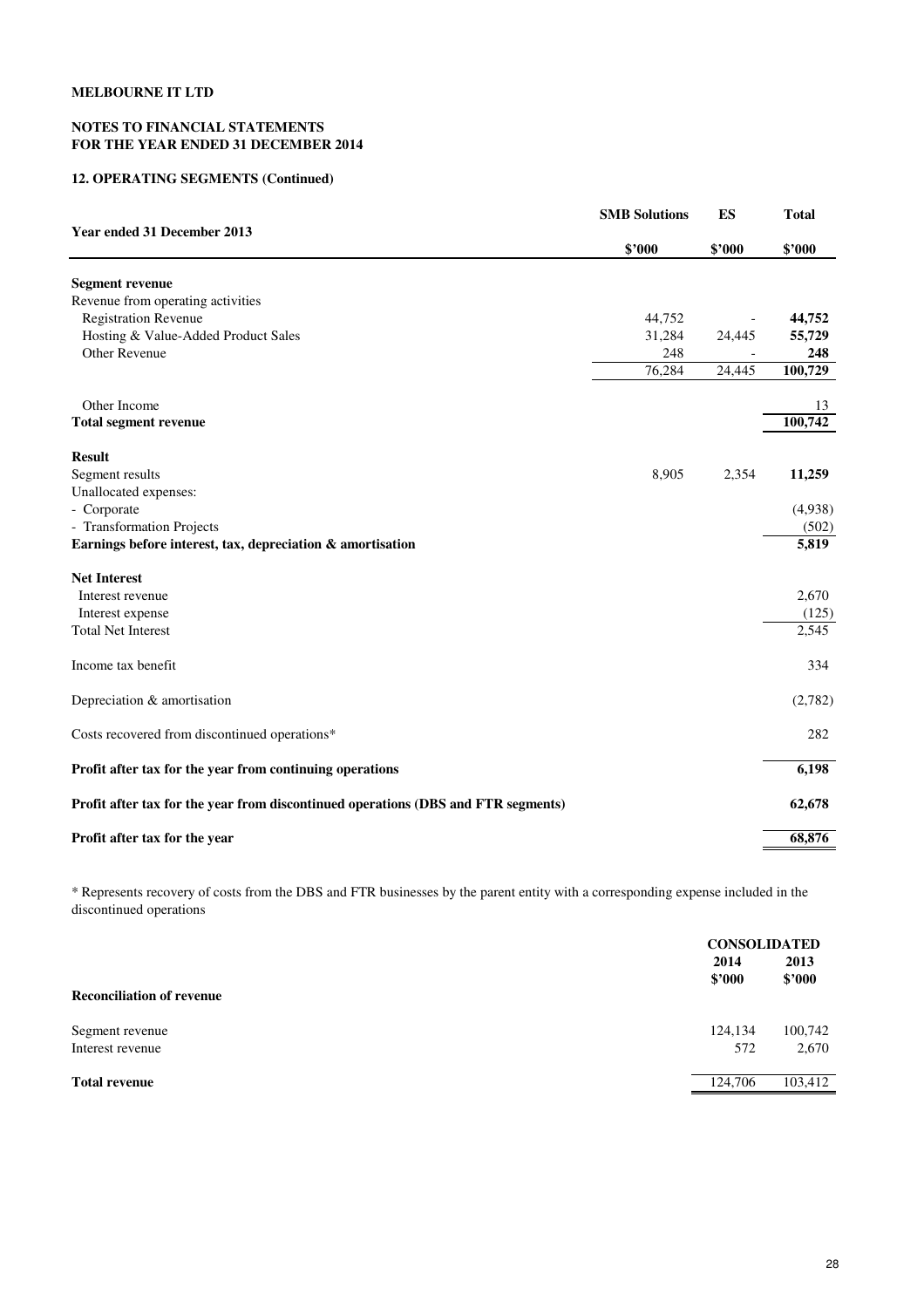# **NOTES TO FINANCIAL STATEMENTS FOR THE YEAR ENDED 31 DECEMBER 2014**

# **12. OPERATING SEGMENTS (Continued)**

|                                                                                   | <b>SMB Solutions</b> | ES     | <b>Total</b> |
|-----------------------------------------------------------------------------------|----------------------|--------|--------------|
| Year ended 31 December 2013                                                       | \$'000               | \$'000 | \$'000       |
| <b>Segment revenue</b>                                                            |                      |        |              |
| Revenue from operating activities                                                 |                      |        |              |
| <b>Registration Revenue</b>                                                       | 44,752               |        | 44,752       |
| Hosting & Value-Added Product Sales                                               | 31,284               | 24,445 | 55,729       |
| <b>Other Revenue</b>                                                              | 248                  |        | 248          |
|                                                                                   | 76,284               | 24,445 | 100,729      |
| Other Income                                                                      |                      |        | 13           |
| <b>Total segment revenue</b>                                                      |                      |        | 100,742      |
| <b>Result</b>                                                                     |                      |        |              |
| Segment results                                                                   | 8,905                | 2,354  | 11,259       |
| Unallocated expenses:                                                             |                      |        |              |
| - Corporate                                                                       |                      |        | (4,938)      |
| - Transformation Projects                                                         |                      |        | (502)        |
| Earnings before interest, tax, depreciation & amortisation                        |                      |        | 5,819        |
| <b>Net Interest</b>                                                               |                      |        |              |
| Interest revenue                                                                  |                      |        | 2,670        |
| Interest expense                                                                  |                      |        | (125)        |
| <b>Total Net Interest</b>                                                         |                      |        | 2,545        |
| Income tax benefit                                                                |                      |        | 334          |
| Depreciation & amortisation                                                       |                      |        | (2,782)      |
| Costs recovered from discontinued operations*                                     |                      |        | 282          |
| Profit after tax for the year from continuing operations                          |                      |        | 6,198        |
| Profit after tax for the year from discontinued operations (DBS and FTR segments) |                      |        | 62,678       |
| Profit after tax for the year                                                     |                      |        | 68,876       |

\* Represents recovery of costs from the DBS and FTR businesses by the parent entity with a corresponding expense included in the discontinued operations

|                                  | <b>CONSOLIDATED</b><br>2014<br>\$2000 | 2013<br>\$2000 |
|----------------------------------|---------------------------------------|----------------|
| <b>Reconciliation of revenue</b> |                                       |                |
| Segment revenue                  | 124,134                               | 100,742        |
| Interest revenue                 | 572                                   | 2,670          |
| <b>Total revenue</b>             | 124,706                               | 103,412        |